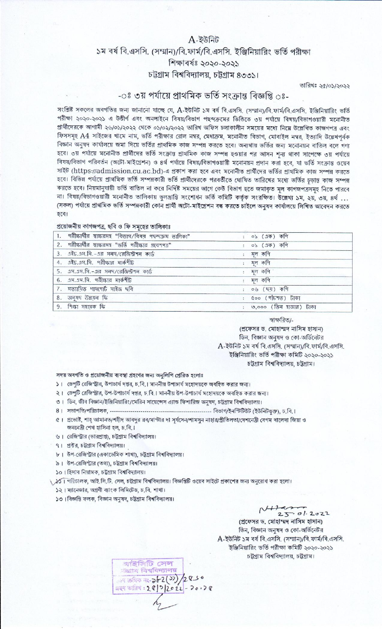## $A - \overline{\partial}$ উনিট ১ম বর্ষ বি.এসসি. (সম্মান)/বি.ফার্ম/বি.এসসি. ইঞ্জিনিয়ারিং ভর্তি পরীক্ষা শিক্ষাবৰ্ষঃ ২০২০-২০২১ চট্টগ্রাম বিশ্ববিদ্যালয়, চট্টগ্রাম ৪৩৩১।

তারিখঃ ২৫/০১/২০২২

## -ঃ ৩য় পর্যায়ে প্রাথমিক ভর্তি সংক্রান্ত বিজ্ঞপ্তি ঃ-

সংশ্লিষ্ট সকলের অবগতির জন্য জানানো যাচ্ছে যে, A-ইউনিট ১ম বর্ষ বি.এসসি. (সম্মান)/বি.ফার্ম/বি.এসসি. ইঞ্জিনিয়ারিং ভর্তি পরীক্ষা ২০২০-২০২১ এ উত্তীর্ণ এবং অনলাইনে বিষয়/বিভাগ পছন্দক্রমের ভিত্তিতে ৩য় পর্যায়ে বিষয়/বিভাগওয়ারী মনোনীত প্রার্থীদেরকে আগামী ২৬/০১/২০২২ থেকে ০১/০২/২০২২ তারিখ অফিস চলাকালীন সময়ের মধ্যে নিম্নে উল্লেখিত কাজগপত্র এবং ফিসসমূহ A4 সাইজের খামে নাম, ভর্তি পরীক্ষার রোল নম্বর, মেধাক্রম, মনোনীত বিভাগ, মোবাইল নম্বর, ইত্যাদি উল্লেখপূর্বক বিজ্ঞান অনুষদ কার্যালয়ে জমা দিয়ে ভর্তির প্রাথমিক কাজ সম্পন্ন করতে হবে। অন্যথায় ভর্তির জন্য মনোনয়ন বাতিল বলে গণা হবে। ৩য় পর্যায়ে মনোনীত প্রার্থীদের ভর্তি সংক্রান্ত প্রাথমিক কাজ সম্পন্ন হওয়ার পর আসন শূন্য থাকা সাপেক্ষে ৩য় পর্যায়ে বিষয়/বিভাগ পরিবর্তন (অটো-মাইগ্রেশন) ও ৪র্থ পর্যায়ে বিষয়/বিভাগওয়ারী মনোনয়ন প্রদান করা হবে, যা ভর্তি সংক্রান্ত ওয়েব সাইট (https://admission.cu.ac.bd)-এ প্রকাশ করা হবে এবং মনোনীত প্রার্থীদের ভর্তির প্রাথমিক কাজ সম্পন্ন করতে হবে। বিভিন্ন পর্যায়ে প্রাথমিক ভর্তি সম্পন্নকারী ভর্তি প্রার্থীদেরকে পরবর্তীতে ঘোষিত তারিখের মধ্যে ভর্তির চড়ান্ত কাজ সম্পন্ন করতে হবে। নিয়মানুযায়ী ভর্তি বাতিল না করে নির্দিষ্ট সময়ের আগে কেউ বিভাগ হতে জমাকৃত মল কাগজপত্রসমূহ নিতে পারবে না। বিষয়/বিভাগওয়ারী মনোনীত তালিকায় ভুলম্রান্তি সংশোধন ভর্তি কমিটি কর্তৃক সংরক্ষিত। উল্লেখ্য ১ম, ২য়, ৩য়, ৪র্থ ... (সকল) পৰ্যায়ে প্ৰাথমিক ভৰ্তি সম্পন্নকারী কোন প্ৰাৰ্থী অটো-মাইগ্ৰেশন বন্ধ করতে চাইলে অনুষদ কাৰ্যালয়ে লিখিত আবেদন করতে হৰে।

## প্রয়োজনীয় কাগজপত্র, ছবি ও ফি সমূহের তালিকাঃ

| 1.    পরীক্ষার্থীর  স্বাক্ষরসহ  "বিভাগ/বিষয়  গছন্দক্রম  ভালিকা" | ০১ (এক) কণি              |
|------------------------------------------------------------------|--------------------------|
| 2. পরীক্ষার্থীর স্বাক্ষরসহ "ভর্তি পরীক্ষার গ্রবেশপত্র"           | : ০১ (এক) কণি            |
| $3.$ এইচ.এস.সি.-এর সনদ/রেজিস্ট্রশন কার্ড                         | মূল কণি                  |
| 4. এইচ.এস.সি. পরীক্ষার মার্কশীট                                  | মূল কগি                  |
| 5. <i>এস.এস.সি.-এর সন্দ</i> ারেজিস্ট্রশন কার্ড                   | মূল কণি                  |
| 6. এস.এস.সি. পরীক্ষার মার্কশীট                                   | : মূল কণি                |
| 7. সত্যায়িত পাসপোর্ট সাইজ ছবি                                   | : $0\%$ ( $6\%$ ) कभि    |
| 8. अनुषप উन्नयन फि                                               | : ৫০০ (পাঁচশত) টাকা      |
| 9. শিক্ষা সহায়ক ফি                                              | : ৩,০০০ (তিন হাজার) টাকা |

স্বাক্ষরিত/-

(প্রফেসর ড. মোহাম্মদ নাসিম হাসান) ডিন, বিজ্ঞান অনুষদ ও কো-অর্ডিনেটর  $A$ -ইউনিট ১ম বর্ষ বি.এসসি. (সম্মান)/বি.ফার্ম/বি.এসসি. ইঞ্জিনিয়ারিং ভর্তি পরীক্ষা কমিটি ২০২০-২০২১ চটগ্ৰাম বিশ্ববিদ্যালয়, চটগ্ৰাম।

## সদয় অবগতি ও প্রয়োজনীয় ব্যবস্থা গ্রহণের জন্য অনুলিপি প্রেরিত হলোঃ

- ১। ডেপুটি রেজিস্ট্রার, উপাচার্য দপ্তর, চ.বি.। মাননীয় উপাচার্য মহোদয়কে অবহিত করার জন্য।
- ২। ডেপুটি রেজিস্ট্রার, উপ-উপাচার্য দপ্তর, চ.বি.। মাননীয় উপ-উপাচার্য মহোদয়কে অবহিত করার জন্য।
- ৩। ডিন, জীব বিজ্ঞান/ইঞ্জিনিয়ারিং/মেরিন সায়েন্সেস এ্যান্ড ফিশারিজ অনুষদ, চট্টগ্রাম বিশ্ববিদ্যালয়।
- 
- ৫। প্রভোষ্ট, শাহ্ আমানত/শহীদ আবদুর রব/মাস্টার দা সূর্যসেন/শামসুন নাহার/প্রীতিলতা/দেশনেত্রী বেগম খালেদা জিয়া ও জননেত্ৰী শেখ হাসিনা হল, চ.বি.।
- ৬। রেজিস্ট্রার (ভারপ্রাপ্ত), চট্টগ্রাম বিশ্ববিদ্যালয়।
- ৭। প্রক্টর, চট্টগ্রাম বিশ্ববিদ্যালয়।
- ৮। উপ-রেজিস্ট্রার (একাডেমিক শাখা), চট্টগ্রাম বিশ্ববিদ্যালয়।
- ৯। উপ-রেজিস্ট্রার (তথ্য), ঢট্টগ্রাম বিশ্ববিদ্যালয়।
- ১০। হিসাব নিয়ামক, চট্টগ্রাম বিশ্ববিদ্যালয়।

\ ১০১ । পরিচালক, আই.সি.টি. সেল, চট্টগ্রাম বিশ্ববিদ্যালয়। বিজ্ঞপ্তিটি ওয়েব সাইটে প্রকাশের জন্য অনুরোধ করা হলো।

- ১২। ম্যানেজার, অগ্রণী ব্যাংক লিমিটেড, চ.বি. শাখা।
- ১৩। বিজ্ঞপ্তি ফলক, বিজ্ঞান অনুষদ, চট্টগ্রাম বিশ্ববিদ্যালয়।

 $25.01.2022$ 

(প্রফেসর ড. মোহাম্মদ নাসিম হাসান) ডিন, বিজ্ঞান অনুষদ ও কো-অর্ডিনেটর A-ইউনিট ১ম বর্ষ বি.এসসি. (সম্মান)/বি.ফার্ম/বি.এসসি. ইঞ্জিনিয়ারিং ভর্তি পরীক্ষা কমিটি ২০২০-২০২১ চট্টগ্রাম বিশ্ববিদ্যালয়, চট্টগ্রাম।

-<br>আইসিটি সেল<br>-জ্ঞাম বিশ্ববিদ্যালয় <u>ा कविक न१-२62(55)/2856</u> ক্ৰম্প আরিখ:  $2Q$   $3Q$   $2Q$   $2Q$   $7Q$   $7Q$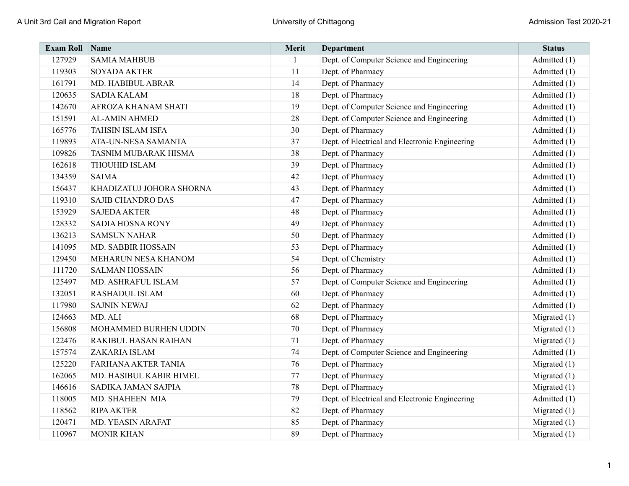| <b>Exam Roll</b> | <b>Name</b>                | Merit | <b>Department</b>                              | <b>Status</b>  |
|------------------|----------------------------|-------|------------------------------------------------|----------------|
| 127929           | <b>SAMIA MAHBUB</b>        | 1     | Dept. of Computer Science and Engineering      | Admitted (1)   |
| 119303           | <b>SOYADA AKTER</b>        | 11    | Dept. of Pharmacy                              | Admitted (1)   |
| 161791           | MD. HABIBUL ABRAR          | 14    | Dept. of Pharmacy                              | Admitted (1)   |
| 120635           | <b>SADIA KALAM</b>         | 18    | Dept. of Pharmacy                              | Admitted (1)   |
| 142670           | AFROZA KHANAM SHATI        | 19    | Dept. of Computer Science and Engineering      | Admitted (1)   |
| 151591           | <b>AL-AMIN AHMED</b>       | 28    | Dept. of Computer Science and Engineering      | Admitted (1)   |
| 165776           | <b>TAHSIN ISLAM ISFA</b>   | 30    | Dept. of Pharmacy                              | Admitted (1)   |
| 119893           | ATA-UN-NESA SAMANTA        | 37    | Dept. of Electrical and Electronic Engineering | Admitted (1)   |
| 109826           | TASNIM MUBARAK HISMA       | 38    | Dept. of Pharmacy                              | Admitted (1)   |
| 162618           | <b>THOUHID ISLAM</b>       | 39    | Dept. of Pharmacy                              | Admitted (1)   |
| 134359           | <b>SAIMA</b>               | 42    | Dept. of Pharmacy                              | Admitted (1)   |
| 156437           | KHADIZATUJ JOHORA SHORNA   | 43    | Dept. of Pharmacy                              | Admitted (1)   |
| 119310           | <b>SAJIB CHANDRO DAS</b>   | 47    | Dept. of Pharmacy                              | Admitted (1)   |
| 153929           | <b>SAJEDA AKTER</b>        | 48    | Dept. of Pharmacy                              | Admitted (1)   |
| 128332           | <b>SADIA HOSNA RONY</b>    | 49    | Dept. of Pharmacy                              | Admitted (1)   |
| 136213           | <b>SAMSUN NAHAR</b>        | 50    | Dept. of Pharmacy                              | Admitted (1)   |
| 141095           | <b>MD. SABBIR HOSSAIN</b>  | 53    | Dept. of Pharmacy                              | Admitted (1)   |
| 129450           | MEHARUN NESA KHANOM        | 54    | Dept. of Chemistry                             | Admitted (1)   |
| 111720           | <b>SALMAN HOSSAIN</b>      | 56    | Dept. of Pharmacy                              | Admitted (1)   |
| 125497           | MD. ASHRAFUL ISLAM         | 57    | Dept. of Computer Science and Engineering      | Admitted (1)   |
| 132051           | <b>RASHADUL ISLAM</b>      | 60    | Dept. of Pharmacy                              | Admitted (1)   |
| 117980           | <b>SAJNIN NEWAJ</b>        | 62    | Dept. of Pharmacy                              | Admitted (1)   |
| 124663           | MD. ALI                    | 68    | Dept. of Pharmacy                              | Migrated $(1)$ |
| 156808           | MOHAMMED BURHEN UDDIN      | 70    | Dept. of Pharmacy                              | Migrated $(1)$ |
| 122476           | RAKIBUL HASAN RAIHAN       | 71    | Dept. of Pharmacy                              | Migrated $(1)$ |
| 157574           | ZAKARIA ISLAM              | 74    | Dept. of Computer Science and Engineering      | Admitted (1)   |
| 125220           | <b>FARHANA AKTER TANIA</b> | 76    | Dept. of Pharmacy                              | Migrated $(1)$ |
| 162065           | MD. HASIBUL KABIR HIMEL    | 77    | Dept. of Pharmacy                              | Migrated $(1)$ |
| 146616           | SADIKA JAMAN SAJPIA        | 78    | Dept. of Pharmacy                              | Migrated $(1)$ |
| 118005           | MD. SHAHEEN MIA            | 79    | Dept. of Electrical and Electronic Engineering | Admitted (1)   |
| 118562           | <b>RIPA AKTER</b>          | 82    | Dept. of Pharmacy                              | Migrated $(1)$ |
| 120471           | MD. YEASIN ARAFAT          | 85    | Dept. of Pharmacy                              | Migrated (1)   |
| 110967           | <b>MONIR KHAN</b>          | 89    | Dept. of Pharmacy                              | Migrated $(1)$ |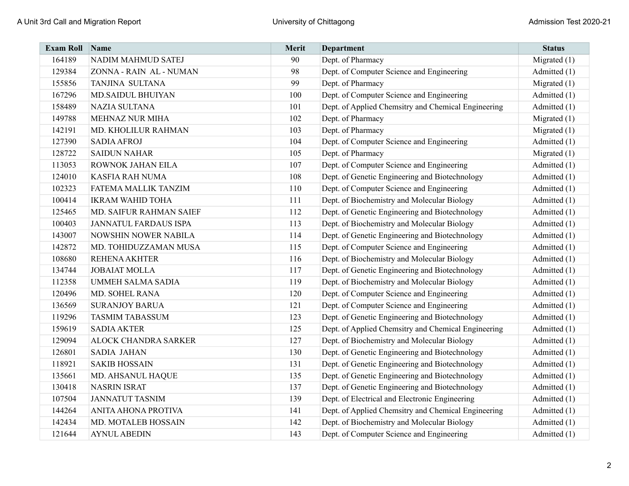| <b>Exam Roll Name</b> |                              | Merit | <b>Department</b>                                   | <b>Status</b>  |
|-----------------------|------------------------------|-------|-----------------------------------------------------|----------------|
| 164189                | NADIM MAHMUD SATEJ           | 90    | Dept. of Pharmacy                                   | Migrated $(1)$ |
| 129384                | ZONNA - RAIN AL - NUMAN      | 98    | Dept. of Computer Science and Engineering           | Admitted (1)   |
| 155856                | TANJINA SULTANA              | 99    | Dept. of Pharmacy                                   | Migrated $(1)$ |
| 167296                | <b>MD.SAIDUL BHUIYAN</b>     | 100   | Dept. of Computer Science and Engineering           | Admitted (1)   |
| 158489                | <b>NAZIA SULTANA</b>         | 101   | Dept. of Applied Chemsitry and Chemical Engineering | Admitted (1)   |
| 149788                | MEHNAZ NUR MIHA              | 102   | Dept. of Pharmacy                                   | Migrated $(1)$ |
| 142191                | MD. KHOLILUR RAHMAN          | 103   | Dept. of Pharmacy                                   | Migrated $(1)$ |
| 127390                | <b>SADIA AFROJ</b>           | 104   | Dept. of Computer Science and Engineering           | Admitted (1)   |
| 128722                | <b>SAIDUN NAHAR</b>          | 105   | Dept. of Pharmacy                                   | Migrated $(1)$ |
| 113053                | ROWNOK JAHAN EILA            | 107   | Dept. of Computer Science and Engineering           | Admitted (1)   |
| 124010                | <b>KASFIA RAH NUMA</b>       | 108   | Dept. of Genetic Engineering and Biotechnology      | Admitted (1)   |
| 102323                | FATEMA MALLIK TANZIM         | 110   | Dept. of Computer Science and Engineering           | Admitted (1)   |
| 100414                | <b>IKRAM WAHID TOHA</b>      | 111   | Dept. of Biochemistry and Molecular Biology         | Admitted (1)   |
| 125465                | MD. SAIFUR RAHMAN SAIEF      | 112   | Dept. of Genetic Engineering and Biotechnology      | Admitted (1)   |
| 100403                | <b>JANNATUL FARDAUS ISPA</b> | 113   | Dept. of Biochemistry and Molecular Biology         | Admitted (1)   |
| 143007                | NOWSHIN NOWER NABILA         | 114   | Dept. of Genetic Engineering and Biotechnology      | Admitted (1)   |
| 142872                | MD. TOHIDUZZAMAN MUSA        | 115   | Dept. of Computer Science and Engineering           | Admitted (1)   |
| 108680                | <b>REHENA AKHTER</b>         | 116   | Dept. of Biochemistry and Molecular Biology         | Admitted (1)   |
| 134744                | <b>JOBAIAT MOLLA</b>         | 117   | Dept. of Genetic Engineering and Biotechnology      | Admitted (1)   |
| 112358                | <b>UMMEH SALMA SADIA</b>     | 119   | Dept. of Biochemistry and Molecular Biology         | Admitted (1)   |
| 120496                | MD. SOHEL RANA               | 120   | Dept. of Computer Science and Engineering           | Admitted (1)   |
| 136569                | <b>SURANJOY BARUA</b>        | 121   | Dept. of Computer Science and Engineering           | Admitted (1)   |
| 119296                | <b>TASMIM TABASSUM</b>       | 123   | Dept. of Genetic Engineering and Biotechnology      | Admitted (1)   |
| 159619                | <b>SADIA AKTER</b>           | 125   | Dept. of Applied Chemsitry and Chemical Engineering | Admitted (1)   |
| 129094                | ALOCK CHANDRA SARKER         | 127   | Dept. of Biochemistry and Molecular Biology         | Admitted (1)   |
| 126801                | <b>SADIA JAHAN</b>           | 130   | Dept. of Genetic Engineering and Biotechnology      | Admitted (1)   |
| 118921                | <b>SAKIB HOSSAIN</b>         | 131   | Dept. of Genetic Engineering and Biotechnology      | Admitted (1)   |
| 135661                | MD. AHSANUL HAQUE            | 135   | Dept. of Genetic Engineering and Biotechnology      | Admitted (1)   |
| 130418                | <b>NASRIN ISRAT</b>          | 137   | Dept. of Genetic Engineering and Biotechnology      | Admitted (1)   |
| 107504                | <b>JANNATUT TASNIM</b>       | 139   | Dept. of Electrical and Electronic Engineering      | Admitted (1)   |
| 144264                | ANITA AHONA PROTIVA          | 141   | Dept. of Applied Chemsitry and Chemical Engineering | Admitted (1)   |
| 142434                | MD. MOTALEB HOSSAIN          | 142   | Dept. of Biochemistry and Molecular Biology         | Admitted (1)   |
| 121644                | <b>AYNUL ABEDIN</b>          | 143   | Dept. of Computer Science and Engineering           | Admitted (1)   |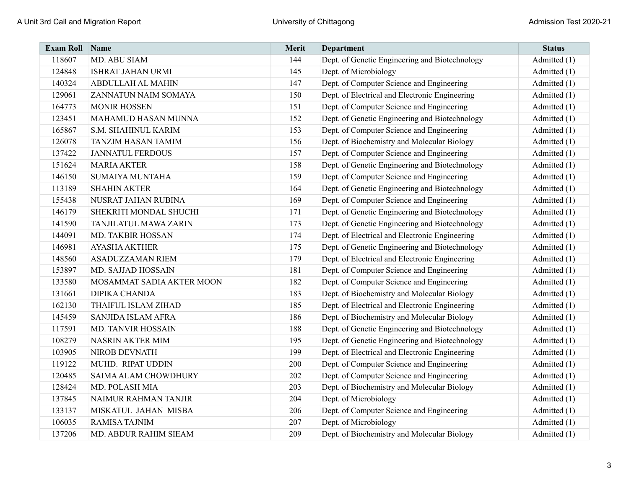| <b>Exam Roll</b> | Name                      | Merit | <b>Department</b>                              | <b>Status</b> |
|------------------|---------------------------|-------|------------------------------------------------|---------------|
| 118607           | MD. ABU SIAM              | 144   | Dept. of Genetic Engineering and Biotechnology | Admitted (1)  |
| 124848           | <b>ISHRAT JAHAN URMI</b>  | 145   | Dept. of Microbiology                          | Admitted (1)  |
| 140324           | <b>ABDULLAH AL MAHIN</b>  | 147   | Dept. of Computer Science and Engineering      | Admitted (1)  |
| 129061           | ZANNATUN NAIM SOMAYA      | 150   | Dept. of Electrical and Electronic Engineering | Admitted (1)  |
| 164773           | <b>MONIR HOSSEN</b>       | 151   | Dept. of Computer Science and Engineering      | Admitted (1)  |
| 123451           | MAHAMUD HASAN MUNNA       | 152   | Dept. of Genetic Engineering and Biotechnology | Admitted (1)  |
| 165867           | S.M. SHAHINUL KARIM       | 153   | Dept. of Computer Science and Engineering      | Admitted (1)  |
| 126078           | <b>TANZIM HASAN TAMIM</b> | 156   | Dept. of Biochemistry and Molecular Biology    | Admitted (1)  |
| 137422           | <b>JANNATUL FERDOUS</b>   | 157   | Dept. of Computer Science and Engineering      | Admitted (1)  |
| 151624           | <b>MARIA AKTER</b>        | 158   | Dept. of Genetic Engineering and Biotechnology | Admitted (1)  |
| 146150           | <b>SUMAIYA MUNTAHA</b>    | 159   | Dept. of Computer Science and Engineering      | Admitted (1)  |
| 113189           | <b>SHAHIN AKTER</b>       | 164   | Dept. of Genetic Engineering and Biotechnology | Admitted (1)  |
| 155438           | NUSRAT JAHAN RUBINA       | 169   | Dept. of Computer Science and Engineering      | Admitted (1)  |
| 146179           | SHEKRITI MONDAL SHUCHI    | 171   | Dept. of Genetic Engineering and Biotechnology | Admitted (1)  |
| 141590           | TANJILATUL MAWA ZARIN     | 173   | Dept. of Genetic Engineering and Biotechnology | Admitted (1)  |
| 144091           | MD. TAKBIR HOSSAN         | 174   | Dept. of Electrical and Electronic Engineering | Admitted (1)  |
| 146981           | <b>AYASHA AKTHER</b>      | 175   | Dept. of Genetic Engineering and Biotechnology | Admitted (1)  |
| 148560           | <b>ASADUZZAMAN RIEM</b>   | 179   | Dept. of Electrical and Electronic Engineering | Admitted (1)  |
| 153897           | MD. SAJJAD HOSSAIN        | 181   | Dept. of Computer Science and Engineering      | Admitted (1)  |
| 133580           | MOSAMMAT SADIA AKTER MOON | 182   | Dept. of Computer Science and Engineering      | Admitted (1)  |
| 131661           | <b>DIPIKA CHANDA</b>      | 183   | Dept. of Biochemistry and Molecular Biology    | Admitted (1)  |
| 162130           | THAIFUL ISLAM ZIHAD       | 185   | Dept. of Electrical and Electronic Engineering | Admitted (1)  |
| 145459           | SANJIDA ISLAM AFRA        | 186   | Dept. of Biochemistry and Molecular Biology    | Admitted (1)  |
| 117591           | MD. TANVIR HOSSAIN        | 188   | Dept. of Genetic Engineering and Biotechnology | Admitted (1)  |
| 108279           | <b>NASRIN AKTER MIM</b>   | 195   | Dept. of Genetic Engineering and Biotechnology | Admitted (1)  |
| 103905           | NIROB DEVNATH             | 199   | Dept. of Electrical and Electronic Engineering | Admitted (1)  |
| 119122           | MUHD. RIPAT UDDIN         | 200   | Dept. of Computer Science and Engineering      | Admitted (1)  |
| 120485           | SAIMA ALAM CHOWDHURY      | 202   | Dept. of Computer Science and Engineering      | Admitted (1)  |
| 128424           | MD. POLASH MIA            | 203   | Dept. of Biochemistry and Molecular Biology    | Admitted (1)  |
| 137845           | NAIMUR RAHMAN TANJIR      | 204   | Dept. of Microbiology                          | Admitted (1)  |
| 133137           | MISKATUL JAHAN MISBA      | 206   | Dept. of Computer Science and Engineering      | Admitted (1)  |
| 106035           | <b>RAMISA TAJNIM</b>      | 207   | Dept. of Microbiology                          | Admitted (1)  |
| 137206           | MD. ABDUR RAHIM SIEAM     | 209   | Dept. of Biochemistry and Molecular Biology    | Admitted (1)  |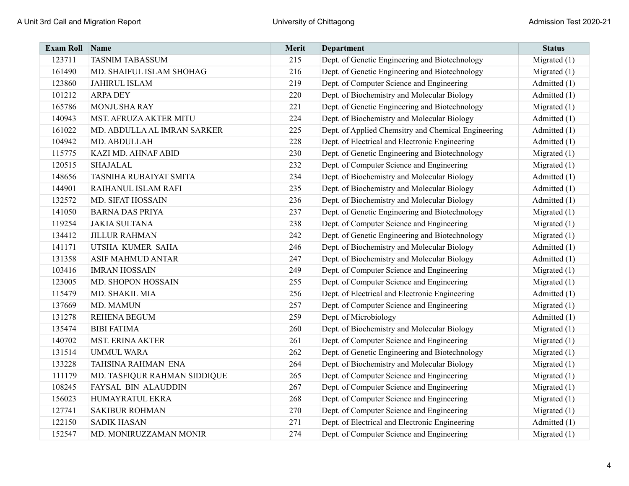| <b>Exam Roll</b> | Name                         | Merit | <b>Department</b>                                   | <b>Status</b>  |
|------------------|------------------------------|-------|-----------------------------------------------------|----------------|
| 123711           | <b>TASNIM TABASSUM</b>       | 215   | Dept. of Genetic Engineering and Biotechnology      | Migrated $(1)$ |
| 161490           | MD. SHAIFUL ISLAM SHOHAG     | 216   | Dept. of Genetic Engineering and Biotechnology      | Migrated $(1)$ |
| 123860           | <b>JAHIRUL ISLAM</b>         | 219   | Dept. of Computer Science and Engineering           | Admitted (1)   |
| 101212           | <b>ARPA DEY</b>              | 220   | Dept. of Biochemistry and Molecular Biology         | Admitted (1)   |
| 165786           | MONJUSHA RAY                 | 221   | Dept. of Genetic Engineering and Biotechnology      | Migrated $(1)$ |
| 140943           | MST. AFRUZA AKTER MITU       | 224   | Dept. of Biochemistry and Molecular Biology         | Admitted (1)   |
| 161022           | MD. ABDULLA AL IMRAN SARKER  | 225   | Dept. of Applied Chemsitry and Chemical Engineering | Admitted (1)   |
| 104942           | MD. ABDULLAH                 | 228   | Dept. of Electrical and Electronic Engineering      | Admitted (1)   |
| 115775           | KAZI MD. AHNAF ABID          | 230   | Dept. of Genetic Engineering and Biotechnology      | Migrated $(1)$ |
| 120515           | <b>SHAJALAL</b>              | 232   | Dept. of Computer Science and Engineering           | Migrated $(1)$ |
| 148656           | TASNIHA RUBAIYAT SMITA       | 234   | Dept. of Biochemistry and Molecular Biology         | Admitted (1)   |
| 144901           | RAIHANUL ISLAM RAFI          | 235   | Dept. of Biochemistry and Molecular Biology         | Admitted (1)   |
| 132572           | MD. SIFAT HOSSAIN            | 236   | Dept. of Biochemistry and Molecular Biology         | Admitted (1)   |
| 141050           | <b>BARNA DAS PRIYA</b>       | 237   | Dept. of Genetic Engineering and Biotechnology      | Migrated $(1)$ |
| 119254           | <b>JAKIA SULTANA</b>         | 238   | Dept. of Computer Science and Engineering           | Migrated $(1)$ |
| 134412           | <b>JILLUR RAHMAN</b>         | 242   | Dept. of Genetic Engineering and Biotechnology      | Migrated $(1)$ |
| 141171           | UTSHA KUMER SAHA             | 246   | Dept. of Biochemistry and Molecular Biology         | Admitted (1)   |
| 131358           | <b>ASIF MAHMUD ANTAR</b>     | 247   | Dept. of Biochemistry and Molecular Biology         | Admitted (1)   |
| 103416           | <b>IMRAN HOSSAIN</b>         | 249   | Dept. of Computer Science and Engineering           | Migrated $(1)$ |
| 123005           | MD. SHOPON HOSSAIN           | 255   | Dept. of Computer Science and Engineering           | Migrated $(1)$ |
| 115479           | MD. SHAKIL MIA               | 256   | Dept. of Electrical and Electronic Engineering      | Admitted (1)   |
| 137669           | MD. MAMUN                    | 257   | Dept. of Computer Science and Engineering           | Migrated $(1)$ |
| 131278           | <b>REHENA BEGUM</b>          | 259   | Dept. of Microbiology                               | Admitted (1)   |
| 135474           | <b>BIBI FATIMA</b>           | 260   | Dept. of Biochemistry and Molecular Biology         | Migrated $(1)$ |
| 140702           | <b>MST. ERINA AKTER</b>      | 261   | Dept. of Computer Science and Engineering           | Migrated $(1)$ |
| 131514           | <b>UMMUL WARA</b>            | 262   | Dept. of Genetic Engineering and Biotechnology      | Migrated $(1)$ |
| 133228           | TAHSINA RAHMAN ENA           | 264   | Dept. of Biochemistry and Molecular Biology         | Migrated $(1)$ |
| 111179           | MD. TASFIQUR RAHMAN SIDDIQUE | 265   | Dept. of Computer Science and Engineering           | Migrated $(1)$ |
| 108245           | FAYSAL BIN ALAUDDIN          | 267   | Dept. of Computer Science and Engineering           | Migrated $(1)$ |
| 156023           | HUMAYRATUL EKRA              | 268   | Dept. of Computer Science and Engineering           | Migrated $(1)$ |
| 127741           | <b>SAKIBUR ROHMAN</b>        | 270   | Dept. of Computer Science and Engineering           | Migrated $(1)$ |
| 122150           | <b>SADIK HASAN</b>           | 271   | Dept. of Electrical and Electronic Engineering      | Admitted (1)   |
| 152547           | MD. MONIRUZZAMAN MONIR       | 274   | Dept. of Computer Science and Engineering           | Migrated $(1)$ |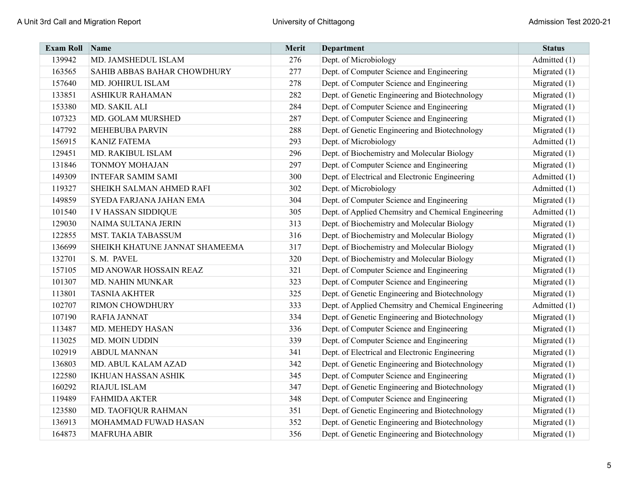| <b>Exam Roll</b> | Name                           | Merit | Department                                          | <b>Status</b>  |
|------------------|--------------------------------|-------|-----------------------------------------------------|----------------|
| 139942           | MD. JAMSHEDUL ISLAM            | 276   | Dept. of Microbiology                               | Admitted (1)   |
| 163565           | SAHIB ABBAS BAHAR CHOWDHURY    | 277   | Dept. of Computer Science and Engineering           | Migrated $(1)$ |
| 157640           | MD. JOHIRUL ISLAM              | 278   | Dept. of Computer Science and Engineering           | Migrated $(1)$ |
| 133851           | <b>ASHIKUR RAHAMAN</b>         | 282   | Dept. of Genetic Engineering and Biotechnology      | Migrated $(1)$ |
| 153380           | MD. SAKIL ALI                  | 284   | Dept. of Computer Science and Engineering           | Migrated $(1)$ |
| 107323           | MD. GOLAM MURSHED              | 287   | Dept. of Computer Science and Engineering           | Migrated $(1)$ |
| 147792           | <b>MEHEBUBA PARVIN</b>         | 288   | Dept. of Genetic Engineering and Biotechnology      | Migrated $(1)$ |
| 156915           | <b>KANIZ FATEMA</b>            | 293   | Dept. of Microbiology                               | Admitted (1)   |
| 129451           | MD. RAKIBUL ISLAM              | 296   | Dept. of Biochemistry and Molecular Biology         | Migrated $(1)$ |
| 131846           | <b>TONMOY MOHAJAN</b>          | 297   | Dept. of Computer Science and Engineering           | Migrated $(1)$ |
| 149309           | <b>INTEFAR SAMIM SAMI</b>      | 300   | Dept. of Electrical and Electronic Engineering      | Admitted (1)   |
| 119327           | SHEIKH SALMAN AHMED RAFI       | 302   | Dept. of Microbiology                               | Admitted (1)   |
| 149859           | SYEDA FARJANA JAHAN EMA        | 304   | Dept. of Computer Science and Engineering           | Migrated $(1)$ |
| 101540           | I V HASSAN SIDDIQUE            | 305   | Dept. of Applied Chemsitry and Chemical Engineering | Admitted (1)   |
| 129030           | NAIMA SULTANA JERIN            | 313   | Dept. of Biochemistry and Molecular Biology         | Migrated $(1)$ |
| 122855           | <b>MST. TAKIA TABASSUM</b>     | 316   | Dept. of Biochemistry and Molecular Biology         | Migrated $(1)$ |
| 136699           | SHEIKH KHATUNE JANNAT SHAMEEMA | 317   | Dept. of Biochemistry and Molecular Biology         | Migrated $(1)$ |
| 132701           | S. M. PAVEL                    | 320   | Dept. of Biochemistry and Molecular Biology         | Migrated $(1)$ |
| 157105           | MD ANOWAR HOSSAIN REAZ         | 321   | Dept. of Computer Science and Engineering           | Migrated $(1)$ |
| 101307           | <b>MD. NAHIN MUNKAR</b>        | 323   | Dept. of Computer Science and Engineering           | Migrated $(1)$ |
| 113801           | <b>TASNIA AKHTER</b>           | 325   | Dept. of Genetic Engineering and Biotechnology      | Migrated $(1)$ |
| 102707           | <b>RIMON CHOWDHURY</b>         | 333   | Dept. of Applied Chemsitry and Chemical Engineering | Admitted (1)   |
| 107190           | <b>RAFIA JANNAT</b>            | 334   | Dept. of Genetic Engineering and Biotechnology      | Migrated $(1)$ |
| 113487           | MD. MEHEDY HASAN               | 336   | Dept. of Computer Science and Engineering           | Migrated $(1)$ |
| 113025           | MD. MOIN UDDIN                 | 339   | Dept. of Computer Science and Engineering           | Migrated $(1)$ |
| 102919           | <b>ABDUL MANNAN</b>            | 341   | Dept. of Electrical and Electronic Engineering      | Migrated $(1)$ |
| 136803           | MD. ABUL KALAM AZAD            | 342   | Dept. of Genetic Engineering and Biotechnology      | Migrated $(1)$ |
| 122580           | <b>IKHUAN HASSAN ASHIK</b>     | 345   | Dept. of Computer Science and Engineering           | Migrated $(1)$ |
| 160292           | RIAJUL ISLAM                   | 347   | Dept. of Genetic Engineering and Biotechnology      | Migrated $(1)$ |
| 119489           | <b>FAHMIDA AKTER</b>           | 348   | Dept. of Computer Science and Engineering           | Migrated $(1)$ |
| 123580           | MD. TAOFIQUR RAHMAN            | 351   | Dept. of Genetic Engineering and Biotechnology      | Migrated $(1)$ |
| 136913           | MOHAMMAD FUWAD HASAN           | 352   | Dept. of Genetic Engineering and Biotechnology      | Migrated $(1)$ |
| 164873           | MAFRUHA ABIR                   | 356   | Dept. of Genetic Engineering and Biotechnology      | Migrated $(1)$ |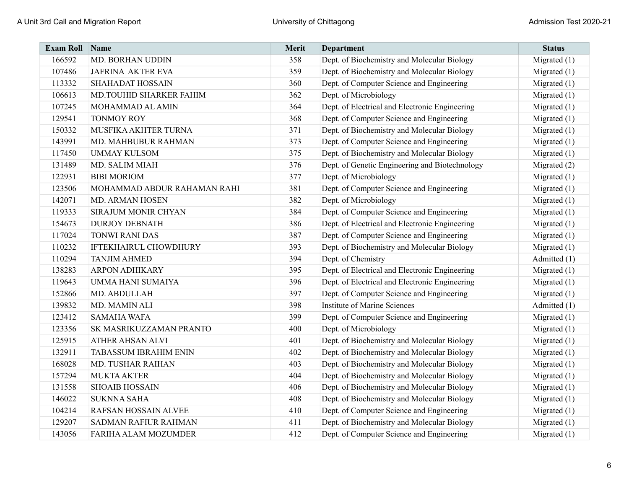| <b>Exam Roll</b> | Name                         | Merit | <b>Department</b>                              | <b>Status</b>  |
|------------------|------------------------------|-------|------------------------------------------------|----------------|
| 166592           | <b>MD. BORHAN UDDIN</b>      | 358   | Dept. of Biochemistry and Molecular Biology    | Migrated $(1)$ |
| 107486           | <b>JAFRINA AKTER EVA</b>     | 359   | Dept. of Biochemistry and Molecular Biology    | Migrated $(1)$ |
| 113332           | SHAHADAT HOSSAIN             | 360   | Dept. of Computer Science and Engineering      | Migrated $(1)$ |
| 106613           | MD.TOUHID SHARKER FAHIM      | 362   | Dept. of Microbiology                          | Migrated $(1)$ |
| 107245           | MOHAMMAD AL AMIN             | 364   | Dept. of Electrical and Electronic Engineering | Migrated $(1)$ |
| 129541           | TONMOY ROY                   | 368   | Dept. of Computer Science and Engineering      | Migrated $(1)$ |
| 150332           | MUSFIKA AKHTER TURNA         | 371   | Dept. of Biochemistry and Molecular Biology    | Migrated $(1)$ |
| 143991           | MD. MAHBUBUR RAHMAN          | 373   | Dept. of Computer Science and Engineering      | Migrated $(1)$ |
| 117450           | <b>UMMAY KULSOM</b>          | 375   | Dept. of Biochemistry and Molecular Biology    | Migrated $(1)$ |
| 131489           | MD. SALIM MIAH               | 376   | Dept. of Genetic Engineering and Biotechnology | Migrated (2)   |
| 122931           | <b>BIBI MORIOM</b>           | 377   | Dept. of Microbiology                          | Migrated $(1)$ |
| 123506           | MOHAMMAD ABDUR RAHAMAN RAHI  | 381   | Dept. of Computer Science and Engineering      | Migrated $(1)$ |
| 142071           | MD. ARMAN HOSEN              | 382   | Dept. of Microbiology                          | Migrated $(1)$ |
| 119333           | SIRAJUM MONIR CHYAN          | 384   | Dept. of Computer Science and Engineering      | Migrated $(1)$ |
| 154673           | <b>DURJOY DEBNATH</b>        | 386   | Dept. of Electrical and Electronic Engineering | Migrated $(1)$ |
| 117024           | <b>TONWI RANI DAS</b>        | 387   | Dept. of Computer Science and Engineering      | Migrated $(1)$ |
| 110232           | <b>IFTEKHAIRUL CHOWDHURY</b> | 393   | Dept. of Biochemistry and Molecular Biology    | Migrated $(1)$ |
| 110294           | <b>TANJIM AHMED</b>          | 394   | Dept. of Chemistry                             | Admitted (1)   |
| 138283           | <b>ARPON ADHIKARY</b>        | 395   | Dept. of Electrical and Electronic Engineering | Migrated $(1)$ |
| 119643           | UMMA HANI SUMAIYA            | 396   | Dept. of Electrical and Electronic Engineering | Migrated $(1)$ |
| 152866           | MD. ABDULLAH                 | 397   | Dept. of Computer Science and Engineering      | Migrated $(1)$ |
| 139832           | MD. MAMIN ALI                | 398   | <b>Institute of Marine Sciences</b>            | Admitted (1)   |
| 123412           | <b>SAMAHA WAFA</b>           | 399   | Dept. of Computer Science and Engineering      | Migrated $(1)$ |
| 123356           | SK MASRIKUZZAMAN PRANTO      | 400   | Dept. of Microbiology                          | Migrated $(1)$ |
| 125915           | ATHER AHSAN ALVI             | 401   | Dept. of Biochemistry and Molecular Biology    | Migrated $(1)$ |
| 132911           | <b>TABASSUM IBRAHIM ENIN</b> | 402   | Dept. of Biochemistry and Molecular Biology    | Migrated $(1)$ |
| 168028           | <b>MD. TUSHAR RAIHAN</b>     | 403   | Dept. of Biochemistry and Molecular Biology    | Migrated $(1)$ |
| 157294           | <b>MUKTA AKTER</b>           | 404   | Dept. of Biochemistry and Molecular Biology    | Migrated $(1)$ |
| 131558           | <b>SHOAIB HOSSAIN</b>        | 406   | Dept. of Biochemistry and Molecular Biology    | Migrated $(1)$ |
| 146022           | <b>SUKNNA SAHA</b>           | 408   | Dept. of Biochemistry and Molecular Biology    | Migrated $(1)$ |
| 104214           | RAFSAN HOSSAIN ALVEE         | 410   | Dept. of Computer Science and Engineering      | Migrated $(1)$ |
| 129207           | <b>SADMAN RAFIUR RAHMAN</b>  | 411   | Dept. of Biochemistry and Molecular Biology    | Migrated $(1)$ |
| 143056           | FARIHA ALAM MOZUMDER         | 412   | Dept. of Computer Science and Engineering      | Migrated (1)   |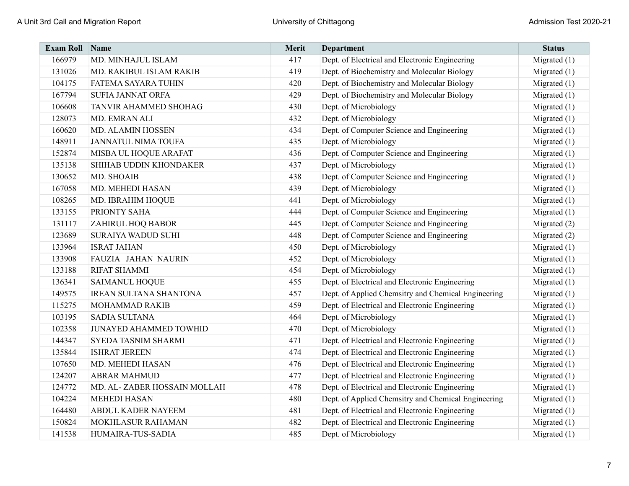| <b>Exam Roll</b> | Name                          | <b>Merit</b> | <b>Department</b>                                   | <b>Status</b>  |
|------------------|-------------------------------|--------------|-----------------------------------------------------|----------------|
| 166979           | MD. MINHAJUL ISLAM            | 417          | Dept. of Electrical and Electronic Engineering      | Migrated $(1)$ |
| 131026           | MD. RAKIBUL ISLAM RAKIB       | 419          | Dept. of Biochemistry and Molecular Biology         | Migrated $(1)$ |
| 104175           | FATEMA SAYARA TUHIN           | 420          | Dept. of Biochemistry and Molecular Biology         | Migrated $(1)$ |
| 167794           | <b>SUFIA JANNAT ORFA</b>      | 429          | Dept. of Biochemistry and Molecular Biology         | Migrated $(1)$ |
| 106608           | TANVIR AHAMMED SHOHAG         | 430          | Dept. of Microbiology                               | Migrated $(1)$ |
| 128073           | MD. EMRAN ALI                 | 432          | Dept. of Microbiology                               | Migrated $(1)$ |
| 160620           | MD. ALAMIN HOSSEN             | 434          | Dept. of Computer Science and Engineering           | Migrated $(1)$ |
| 148911           | <b>JANNATUL NIMA TOUFA</b>    | 435          | Dept. of Microbiology                               | Migrated $(1)$ |
| 152874           | MISBA UL HOQUE ARAFAT         | 436          | Dept. of Computer Science and Engineering           | Migrated $(1)$ |
| 135138           | SHIHAB UDDIN KHONDAKER        | 437          | Dept. of Microbiology                               | Migrated $(1)$ |
| 130652           | MD. SHOAIB                    | 438          | Dept. of Computer Science and Engineering           | Migrated $(1)$ |
| 167058           | MD. MEHEDI HASAN              | 439          | Dept. of Microbiology                               | Migrated $(1)$ |
| 108265           | MD. IBRAHIM HOQUE             | 441          | Dept. of Microbiology                               | Migrated $(1)$ |
| 133155           | PRIONTY SAHA                  | 444          | Dept. of Computer Science and Engineering           | Migrated $(1)$ |
| 131117           | <b>ZAHIRUL HOQ BABOR</b>      | 445          | Dept. of Computer Science and Engineering           | Migrated $(2)$ |
| 123689           | <b>SURAIYA WADUD SUHI</b>     | 448          | Dept. of Computer Science and Engineering           | Migrated $(2)$ |
| 133964           | <b>ISRAT JAHAN</b>            | 450          | Dept. of Microbiology                               | Migrated $(1)$ |
| 133908           | FAUZIA JAHAN NAURIN           | 452          | Dept. of Microbiology                               | Migrated $(1)$ |
| 133188           | <b>RIFAT SHAMMI</b>           | 454          | Dept. of Microbiology                               | Migrated $(1)$ |
| 136341           | <b>SAIMANUL HOQUE</b>         | 455          | Dept. of Electrical and Electronic Engineering      | Migrated $(1)$ |
| 149575           | <b>IREAN SULTANA SHANTONA</b> | 457          | Dept. of Applied Chemsitry and Chemical Engineering | Migrated (1)   |
| 115275           | MOHAMMAD RAKIB                | 459          | Dept. of Electrical and Electronic Engineering      | Migrated $(1)$ |
| 103195           | <b>SADIA SULTANA</b>          | 464          | Dept. of Microbiology                               | Migrated $(1)$ |
| 102358           | <b>JUNAYED AHAMMED TOWHID</b> | 470          | Dept. of Microbiology                               | Migrated $(1)$ |
| 144347           | SYEDA TASNIM SHARMI           | 471          | Dept. of Electrical and Electronic Engineering      | Migrated $(1)$ |
| 135844           | <b>ISHRAT JEREEN</b>          | 474          | Dept. of Electrical and Electronic Engineering      | Migrated $(1)$ |
| 107650           | MD. MEHEDI HASAN              | 476          | Dept. of Electrical and Electronic Engineering      | Migrated $(1)$ |
| 124207           | <b>ABRAR MAHMUD</b>           | 477          | Dept. of Electrical and Electronic Engineering      | Migrated $(1)$ |
| 124772           | MD. AL-ZABER HOSSAIN MOLLAH   | 478          | Dept. of Electrical and Electronic Engineering      | Migrated $(1)$ |
| 104224           | <b>MEHEDI HASAN</b>           | 480          | Dept. of Applied Chemsitry and Chemical Engineering | Migrated $(1)$ |
| 164480           | ABDUL KADER NAYEEM            | 481          | Dept. of Electrical and Electronic Engineering      | Migrated $(1)$ |
| 150824           | MOKHLASUR RAHAMAN             | 482          | Dept. of Electrical and Electronic Engineering      | Migrated $(1)$ |
| 141538           | HUMAIRA-TUS-SADIA             | 485          | Dept. of Microbiology                               | Migrated $(1)$ |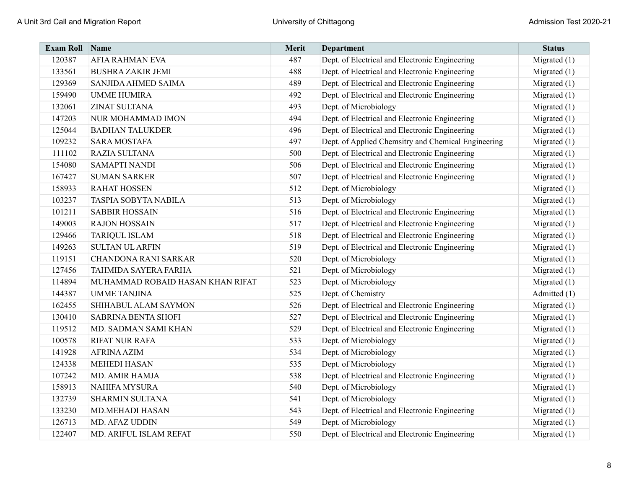| <b>Exam Roll</b> | Name                             | Merit | <b>Department</b>                                   | <b>Status</b>  |
|------------------|----------------------------------|-------|-----------------------------------------------------|----------------|
| 120387           | <b>AFIA RAHMAN EVA</b>           | 487   | Dept. of Electrical and Electronic Engineering      | Migrated $(1)$ |
| 133561           | <b>BUSHRA ZAKIR JEMI</b>         | 488   | Dept. of Electrical and Electronic Engineering      | Migrated $(1)$ |
| 129369           | SANJIDA AHMED SAIMA              | 489   | Dept. of Electrical and Electronic Engineering      | Migrated $(1)$ |
| 159490           | <b>UMME HUMIRA</b>               | 492   | Dept. of Electrical and Electronic Engineering      | Migrated $(1)$ |
| 132061           | <b>ZINAT SULTANA</b>             | 493   | Dept. of Microbiology                               | Migrated $(1)$ |
| 147203           | NUR MOHAMMAD IMON                | 494   | Dept. of Electrical and Electronic Engineering      | Migrated $(1)$ |
| 125044           | <b>BADHAN TALUKDER</b>           | 496   | Dept. of Electrical and Electronic Engineering      | Migrated $(1)$ |
| 109232           | <b>SARA MOSTAFA</b>              | 497   | Dept. of Applied Chemsitry and Chemical Engineering | Migrated $(1)$ |
| 111102           | <b>RAZIA SULTANA</b>             | 500   | Dept. of Electrical and Electronic Engineering      | Migrated $(1)$ |
| 154080           | <b>SAMAPTI NANDI</b>             | 506   | Dept. of Electrical and Electronic Engineering      | Migrated $(1)$ |
| 167427           | <b>SUMAN SARKER</b>              | 507   | Dept. of Electrical and Electronic Engineering      | Migrated $(1)$ |
| 158933           | <b>RAHAT HOSSEN</b>              | 512   | Dept. of Microbiology                               | Migrated $(1)$ |
| 103237           | TASPIA SOBYTA NABILA             | 513   | Dept. of Microbiology                               | Migrated (1)   |
| 101211           | <b>SABBIR HOSSAIN</b>            | 516   | Dept. of Electrical and Electronic Engineering      | Migrated $(1)$ |
| 149003           | <b>RAJON HOSSAIN</b>             | 517   | Dept. of Electrical and Electronic Engineering      | Migrated $(1)$ |
| 129466           | <b>TARIQUL ISLAM</b>             | 518   | Dept. of Electrical and Electronic Engineering      | Migrated $(1)$ |
| 149263           | <b>SULTAN UL ARFIN</b>           | 519   | Dept. of Electrical and Electronic Engineering      | Migrated $(1)$ |
| 119151           | <b>CHANDONA RANI SARKAR</b>      | 520   | Dept. of Microbiology                               | Migrated $(1)$ |
| 127456           | TAHMIDA SAYERA FARHA             | 521   | Dept. of Microbiology                               | Migrated $(1)$ |
| 114894           | MUHAMMAD ROBAID HASAN KHAN RIFAT | 523   | Dept. of Microbiology                               | Migrated $(1)$ |
| 144387           | <b>UMME TANJINA</b>              | 525   | Dept. of Chemistry                                  | Admitted (1)   |
| 162455           | SHIHABUL ALAM SAYMON             | 526   | Dept. of Electrical and Electronic Engineering      | Migrated $(1)$ |
| 130410           | <b>SABRINA BENTA SHOFI</b>       | 527   | Dept. of Electrical and Electronic Engineering      | Migrated $(1)$ |
| 119512           | MD. SADMAN SAMI KHAN             | 529   | Dept. of Electrical and Electronic Engineering      | Migrated $(1)$ |
| 100578           | <b>RIFAT NUR RAFA</b>            | 533   | Dept. of Microbiology                               | Migrated $(1)$ |
| 141928           | <b>AFRINA AZIM</b>               | 534   | Dept. of Microbiology                               | Migrated $(1)$ |
| 124338           | <b>MEHEDI HASAN</b>              | 535   | Dept. of Microbiology                               | Migrated $(1)$ |
| 107242           | MD. AMIR HAMJA                   | 538   | Dept. of Electrical and Electronic Engineering      | Migrated $(1)$ |
| 158913           | <b>NAHIFA MYSURA</b>             | 540   | Dept. of Microbiology                               | Migrated $(1)$ |
| 132739           | <b>SHARMIN SULTANA</b>           | 541   | Dept. of Microbiology                               | Migrated $(1)$ |
| 133230           | <b>MD.MEHADI HASAN</b>           | 543   | Dept. of Electrical and Electronic Engineering      | Migrated $(1)$ |
| 126713           | MD. AFAZ UDDIN                   | 549   | Dept. of Microbiology                               | Migrated $(1)$ |
| 122407           | MD. ARIFUL ISLAM REFAT           | 550   | Dept. of Electrical and Electronic Engineering      | Migrated $(1)$ |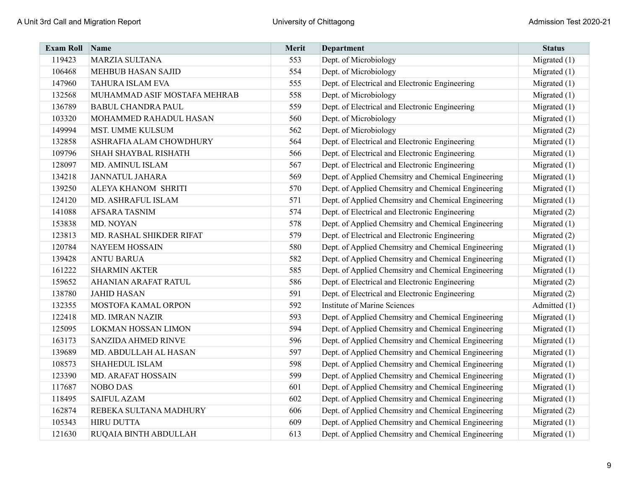| <b>Exam Roll</b> | Name                         | Merit | <b>Department</b>                                   | <b>Status</b>  |
|------------------|------------------------------|-------|-----------------------------------------------------|----------------|
| 119423           | <b>MARZIA SULTANA</b>        | 553   | Dept. of Microbiology                               | Migrated $(1)$ |
| 106468           | <b>MEHBUB HASAN SAJID</b>    | 554   | Dept. of Microbiology                               | Migrated $(1)$ |
| 147960           | TAHURA ISLAM EVA             | 555   | Dept. of Electrical and Electronic Engineering      | Migrated $(1)$ |
| 132568           | MUHAMMAD ASIF MOSTAFA MEHRAB | 558   | Dept. of Microbiology                               | Migrated $(1)$ |
| 136789           | <b>BABUL CHANDRA PAUL</b>    | 559   | Dept. of Electrical and Electronic Engineering      | Migrated $(1)$ |
| 103320           | MOHAMMED RAHADUL HASAN       | 560   | Dept. of Microbiology                               | Migrated $(1)$ |
| 149994           | MST. UMME KULSUM             | 562   | Dept. of Microbiology                               | Migrated (2)   |
| 132858           | ASHRAFIA ALAM CHOWDHURY      | 564   | Dept. of Electrical and Electronic Engineering      | Migrated $(1)$ |
| 109796           | <b>SHAH SHAYBAL RISHATH</b>  | 566   | Dept. of Electrical and Electronic Engineering      | Migrated $(1)$ |
| 128097           | MD. AMINUL ISLAM             | 567   | Dept. of Electrical and Electronic Engineering      | Migrated $(1)$ |
| 134218           | <b>JANNATUL JAHARA</b>       | 569   | Dept. of Applied Chemsitry and Chemical Engineering | Migrated $(1)$ |
| 139250           | ALEYA KHANOM SHRITI          | 570   | Dept. of Applied Chemsitry and Chemical Engineering | Migrated $(1)$ |
| 124120           | MD. ASHRAFUL ISLAM           | 571   | Dept. of Applied Chemsitry and Chemical Engineering | Migrated $(1)$ |
| 141088           | <b>AFSARA TASNIM</b>         | 574   | Dept. of Electrical and Electronic Engineering      | Migrated $(2)$ |
| 153838           | MD. NOYAN                    | 578   | Dept. of Applied Chemsitry and Chemical Engineering | Migrated $(1)$ |
| 123813           | MD. RASHAL SHIKDER RIFAT     | 579   | Dept. of Electrical and Electronic Engineering      | Migrated $(2)$ |
| 120784           | <b>NAYEEM HOSSAIN</b>        | 580   | Dept. of Applied Chemsitry and Chemical Engineering | Migrated $(1)$ |
| 139428           | <b>ANTU BARUA</b>            | 582   | Dept. of Applied Chemsitry and Chemical Engineering | Migrated $(1)$ |
| 161222           | <b>SHARMIN AKTER</b>         | 585   | Dept. of Applied Chemsitry and Chemical Engineering | Migrated $(1)$ |
| 159652           | AHANIAN ARAFAT RATUL         | 586   | Dept. of Electrical and Electronic Engineering      | Migrated $(2)$ |
| 138780           | <b>JAHID HASAN</b>           | 591   | Dept. of Electrical and Electronic Engineering      | Migrated $(2)$ |
| 132355           | MOSTOFA KAMAL ORPON          | 592   | <b>Institute of Marine Sciences</b>                 | Admitted (1)   |
| 122418           | MD. IMRAN NAZIR              | 593   | Dept. of Applied Chemsitry and Chemical Engineering | Migrated $(1)$ |
| 125095           | LOKMAN HOSSAN LIMON          | 594   | Dept. of Applied Chemsitry and Chemical Engineering | Migrated $(1)$ |
| 163173           | <b>SANZIDA AHMED RINVE</b>   | 596   | Dept. of Applied Chemsitry and Chemical Engineering | Migrated $(1)$ |
| 139689           | MD. ABDULLAH AL HASAN        | 597   | Dept. of Applied Chemsitry and Chemical Engineering | Migrated $(1)$ |
| 108573           | SHAHEDUL ISLAM               | 598   | Dept. of Applied Chemsitry and Chemical Engineering | Migrated $(1)$ |
| 123390           | MD. ARAFAT HOSSAIN           | 599   | Dept. of Applied Chemsitry and Chemical Engineering | Migrated $(1)$ |
| 117687           | <b>NOBO DAS</b>              | 601   | Dept. of Applied Chemsitry and Chemical Engineering | Migrated $(1)$ |
| 118495           | <b>SAIFUL AZAM</b>           | 602   | Dept. of Applied Chemsitry and Chemical Engineering | Migrated $(1)$ |
| 162874           | REBEKA SULTANA MADHURY       | 606   | Dept. of Applied Chemsitry and Chemical Engineering | Migrated (2)   |
| 105343           | <b>HIRU DUTTA</b>            | 609   | Dept. of Applied Chemsitry and Chemical Engineering | Migrated $(1)$ |
| 121630           | RUQAIA BINTH ABDULLAH        | 613   | Dept. of Applied Chemsitry and Chemical Engineering | Migrated $(1)$ |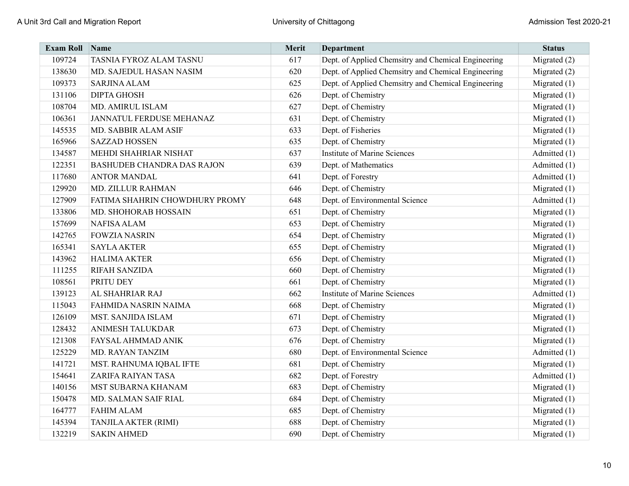| <b>Exam Roll</b> | Name                              | Merit | <b>Department</b>                                   | <b>Status</b>  |
|------------------|-----------------------------------|-------|-----------------------------------------------------|----------------|
| 109724           | TASNIA FYROZ ALAM TASNU           | 617   | Dept. of Applied Chemsitry and Chemical Engineering | Migrated $(2)$ |
| 138630           | MD. SAJEDUL HASAN NASIM           | 620   | Dept. of Applied Chemsitry and Chemical Engineering | Migrated (2)   |
| 109373           | <b>SARJINA ALAM</b>               | 625   | Dept. of Applied Chemsitry and Chemical Engineering | Migrated $(1)$ |
| 131106           | <b>DIPTA GHOSH</b>                | 626   | Dept. of Chemistry                                  | Migrated $(1)$ |
| 108704           | MD. AMIRUL ISLAM                  | 627   | Dept. of Chemistry                                  | Migrated $(1)$ |
| 106361           | JANNATUL FERDUSE MEHANAZ          | 631   | Dept. of Chemistry                                  | Migrated $(1)$ |
| 145535           | MD. SABBIR ALAM ASIF              | 633   | Dept. of Fisheries                                  | Migrated $(1)$ |
| 165966           | <b>SAZZAD HOSSEN</b>              | 635   | Dept. of Chemistry                                  | Migrated $(1)$ |
| 134587           | MEHDI SHAHRIAR NISHAT             | 637   | <b>Institute of Marine Sciences</b>                 | Admitted (1)   |
| 122351           | <b>BASHUDEB CHANDRA DAS RAJON</b> | 639   | Dept. of Mathematics                                | Admitted (1)   |
| 117680           | <b>ANTOR MANDAL</b>               | 641   | Dept. of Forestry                                   | Admitted (1)   |
| 129920           | MD. ZILLUR RAHMAN                 | 646   | Dept. of Chemistry                                  | Migrated $(1)$ |
| 127909           | FATIMA SHAHRIN CHOWDHURY PROMY    | 648   | Dept. of Environmental Science                      | Admitted (1)   |
| 133806           | MD. SHOHORAB HOSSAIN              | 651   | Dept. of Chemistry                                  | Migrated $(1)$ |
| 157699           | <b>NAFISA ALAM</b>                | 653   | Dept. of Chemistry                                  | Migrated $(1)$ |
| 142765           | <b>FOWZIA NASRIN</b>              | 654   | Dept. of Chemistry                                  | Migrated $(1)$ |
| 165341           | <b>SAYLA AKTER</b>                | 655   | Dept. of Chemistry                                  | Migrated $(1)$ |
| 143962           | <b>HALIMA AKTER</b>               | 656   | Dept. of Chemistry                                  | Migrated $(1)$ |
| 111255           | RIFAH SANZIDA                     | 660   | Dept. of Chemistry                                  | Migrated $(1)$ |
| 108561           | PRITU DEY                         | 661   | Dept. of Chemistry                                  | Migrated $(1)$ |
| 139123           | AL SHAHRIAR RAJ                   | 662   | <b>Institute of Marine Sciences</b>                 | Admitted (1)   |
| 115043           | FAHMIDA NASRIN NAIMA              | 668   | Dept. of Chemistry                                  | Migrated $(1)$ |
| 126109           | MST. SANJIDA ISLAM                | 671   | Dept. of Chemistry                                  | Migrated $(1)$ |
| 128432           | <b>ANIMESH TALUKDAR</b>           | 673   | Dept. of Chemistry                                  | Migrated $(1)$ |
| 121308           | FAYSAL AHMMAD ANIK                | 676   | Dept. of Chemistry                                  | Migrated $(1)$ |
| 125229           | MD. RAYAN TANZIM                  | 680   | Dept. of Environmental Science                      | Admitted (1)   |
| 141721           | MST. RAHNUMA IQBAL IFTE           | 681   | Dept. of Chemistry                                  | Migrated $(1)$ |
| 154641           | ZARIFA RAIYAN TASA                | 682   | Dept. of Forestry                                   | Admitted (1)   |
| 140156           | MST SUBARNA KHANAM                | 683   | Dept. of Chemistry                                  | Migrated $(1)$ |
| 150478           | MD. SALMAN SAIF RIAL              | 684   | Dept. of Chemistry                                  | Migrated $(1)$ |
| 164777           | <b>FAHIM ALAM</b>                 | 685   | Dept. of Chemistry                                  | Migrated $(1)$ |
| 145394           | TANJILA AKTER (RIMI)              | 688   | Dept. of Chemistry                                  | Migrated $(1)$ |
| 132219           | <b>SAKIN AHMED</b>                | 690   | Dept. of Chemistry                                  | Migrated $(1)$ |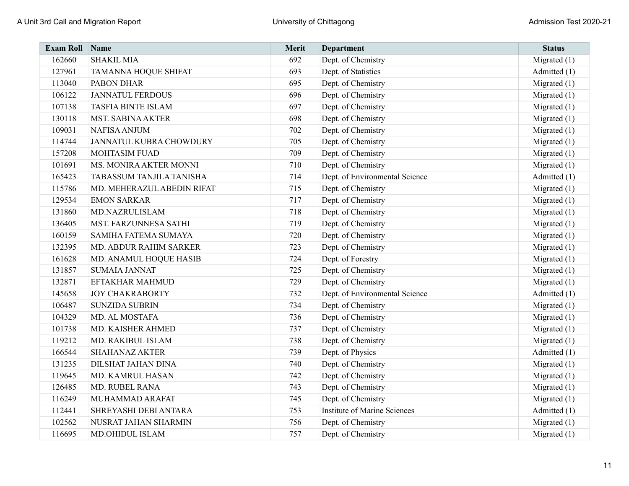| <b>Exam Roll</b> | Name                       | Merit | <b>Department</b>                   | <b>Status</b>  |
|------------------|----------------------------|-------|-------------------------------------|----------------|
| 162660           | <b>SHAKIL MIA</b>          | 692   | Dept. of Chemistry                  | Migrated $(1)$ |
| 127961           | TAMANNA HOQUE SHIFAT       | 693   | Dept. of Statistics                 | Admitted (1)   |
| 113040           | PABON DHAR                 | 695   | Dept. of Chemistry                  | Migrated $(1)$ |
| 106122           | <b>JANNATUL FERDOUS</b>    | 696   | Dept. of Chemistry                  | Migrated $(1)$ |
| 107138           | <b>TASFIA BINTE ISLAM</b>  | 697   | Dept. of Chemistry                  | Migrated $(1)$ |
| 130118           | <b>MST. SABINA AKTER</b>   | 698   | Dept. of Chemistry                  | Migrated $(1)$ |
| 109031           | <b>NAFISA ANJUM</b>        | 702   | Dept. of Chemistry                  | Migrated $(1)$ |
| 114744           | JANNATUL KUBRA CHOWDURY    | 705   | Dept. of Chemistry                  | Migrated $(1)$ |
| 157208           | <b>MOHTASIM FUAD</b>       | 709   | Dept. of Chemistry                  | Migrated $(1)$ |
| 101691           | MS. MONIRA AKTER MONNI     | 710   | Dept. of Chemistry                  | Migrated $(1)$ |
| 165423           | TABASSUM TANJILA TANISHA   | 714   | Dept. of Environmental Science      | Admitted (1)   |
| 115786           | MD. MEHERAZUL ABEDIN RIFAT | 715   | Dept. of Chemistry                  | Migrated $(1)$ |
| 129534           | <b>EMON SARKAR</b>         | 717   | Dept. of Chemistry                  | Migrated $(1)$ |
| 131860           | MD.NAZRULISLAM             | 718   | Dept. of Chemistry                  | Migrated $(1)$ |
| 136405           | MST. FARZUNNESA SATHI      | 719   | Dept. of Chemistry                  | Migrated $(1)$ |
| 160159           | SAMIHA FATEMA SUMAYA       | 720   | Dept. of Chemistry                  | Migrated $(1)$ |
| 132395           | MD. ABDUR RAHIM SARKER     | 723   | Dept. of Chemistry                  | Migrated $(1)$ |
| 161628           | MD. ANAMUL HOQUE HASIB     | 724   | Dept. of Forestry                   | Migrated $(1)$ |
| 131857           | <b>SUMAIA JANNAT</b>       | 725   | Dept. of Chemistry                  | Migrated $(1)$ |
| 132871           | EFTAKHAR MAHMUD            | 729   | Dept. of Chemistry                  | Migrated $(1)$ |
| 145658           | <b>JOY CHAKRABORTY</b>     | 732   | Dept. of Environmental Science      | Admitted (1)   |
| 106487           | <b>SUNZIDA SUBRIN</b>      | 734   | Dept. of Chemistry                  | Migrated $(1)$ |
| 104329           | MD. AL MOSTAFA             | 736   | Dept. of Chemistry                  | Migrated $(1)$ |
| 101738           | MD. KAISHER AHMED          | 737   | Dept. of Chemistry                  | Migrated $(1)$ |
| 119212           | MD. RAKIBUL ISLAM          | 738   | Dept. of Chemistry                  | Migrated $(1)$ |
| 166544           | <b>SHAHANAZ AKTER</b>      | 739   | Dept. of Physics                    | Admitted (1)   |
| 131235           | DILSHAT JAHAN DINA         | 740   | Dept. of Chemistry                  | Migrated $(1)$ |
| 119645           | MD. KAMRUL HASAN           | 742   | Dept. of Chemistry                  | Migrated $(1)$ |
| 126485           | MD. RUBEL RANA             | 743   | Dept. of Chemistry                  | Migrated $(1)$ |
| 116249           | MUHAMMAD ARAFAT            | 745   | Dept. of Chemistry                  | Migrated $(1)$ |
| 112441           | SHREYASHI DEBI ANTARA      | 753   | <b>Institute of Marine Sciences</b> | Admitted (1)   |
| 102562           | NUSRAT JAHAN SHARMIN       | 756   | Dept. of Chemistry                  | Migrated $(1)$ |
| 116695           | MD.OHIDUL ISLAM            | 757   | Dept. of Chemistry                  | Migrated $(1)$ |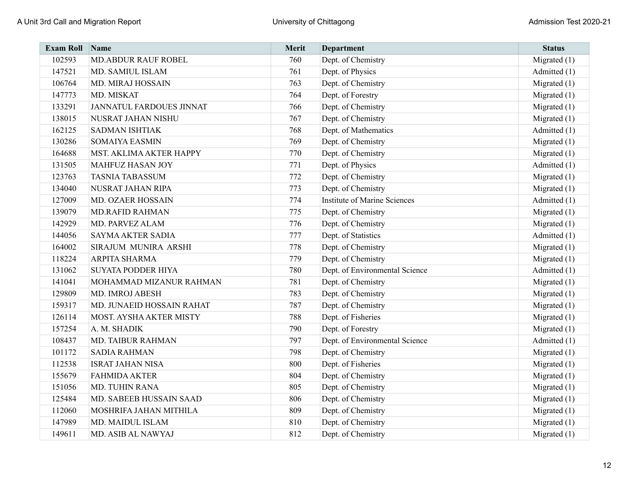| <b>Exam Roll</b> | $\sum_{ }$ Name                 | Merit | <b>Department</b>                   | <b>Status</b>  |
|------------------|---------------------------------|-------|-------------------------------------|----------------|
| 102593           | <b>MD.ABDUR RAUF ROBEL</b>      | 760   | Dept. of Chemistry                  | Migrated (1)   |
| 147521           | MD. SAMIUL ISLAM                | 761   | Dept. of Physics                    | Admitted (1)   |
| 106764           | MD. MIRAJ HOSSAIN               | 763   | Dept. of Chemistry                  | Migrated $(1)$ |
| 147773           | MD. MISKAT                      | 764   | Dept. of Forestry                   | Migrated $(1)$ |
| 133291           | <b>JANNATUL FARDOUES JINNAT</b> | 766   | Dept. of Chemistry                  | Migrated $(1)$ |
| 138015           | NUSRAT JAHAN NISHU              | 767   | Dept. of Chemistry                  | Migrated $(1)$ |
| 162125           | <b>SADMAN ISHTIAK</b>           | 768   | Dept. of Mathematics                | Admitted (1)   |
| 130286           | <b>SOMAIYA EASMIN</b>           | 769   | Dept. of Chemistry                  | Migrated $(1)$ |
| 164688           | MST. AKLIMA AKTER HAPPY         | 770   | Dept. of Chemistry                  | Migrated (1)   |
| 131505           | MAHFUZ HASAN JOY                | 771   | Dept. of Physics                    | Admitted (1)   |
| 123763           | <b>TASNIA TABASSUM</b>          | 772   | Dept. of Chemistry                  | Migrated $(1)$ |
| 134040           | NUSRAT JAHAN RIPA               | 773   | Dept. of Chemistry                  | Migrated $(1)$ |
| 127009           | <b>MD. OZAER HOSSAIN</b>        | 774   | <b>Institute of Marine Sciences</b> | Admitted (1)   |
| 139079           | <b>MD.RAFID RAHMAN</b>          | 775   | Dept. of Chemistry                  | Migrated $(1)$ |
| 142929           | MD. PARVEZ ALAM                 | 776   | Dept. of Chemistry                  | Migrated $(1)$ |
| 144056           | SAYMA AKTER SADIA               | 777   | Dept. of Statistics                 | Admitted (1)   |
| 164002           | SIRAJUM MUNIRA ARSHI            | 778   | Dept. of Chemistry                  | Migrated $(1)$ |
| 118224           | ARPITA SHARMA                   | 779   | Dept. of Chemistry                  | Migrated $(1)$ |
| 131062           | <b>SUYATA PODDER HIYA</b>       | 780   | Dept. of Environmental Science      | Admitted (1)   |
| 141041           | MOHAMMAD MIZANUR RAHMAN         | 781   | Dept. of Chemistry                  | Migrated $(1)$ |
| 129809           | MD. IMROJ ABESH                 | 783   | Dept. of Chemistry                  | Migrated $(1)$ |
| 159317           | MD. JUNAEID HOSSAIN RAHAT       | 787   | Dept. of Chemistry                  | Migrated $(1)$ |
| 126114           | MOST. AYSHA AKTER MISTY         | 788   | Dept. of Fisheries                  | Migrated $(1)$ |
| 157254           | A. M. SHADIK                    | 790   | Dept. of Forestry                   | Migrated $(1)$ |
| 108437           | <b>MD. TAIBUR RAHMAN</b>        | 797   | Dept. of Environmental Science      | Admitted (1)   |
| 101172           | <b>SADIA RAHMAN</b>             | 798   | Dept. of Chemistry                  | Migrated $(1)$ |
| 112538           | <b>ISRAT JAHAN NISA</b>         | 800   | Dept. of Fisheries                  | Migrated $(1)$ |
| 155679           | <b>FAHMIDA AKTER</b>            | 804   | Dept. of Chemistry                  | Migrated $(1)$ |
| 151056           | <b>MD. TUHIN RANA</b>           | 805   | Dept. of Chemistry                  | Migrated $(1)$ |
| 125484           | MD. SABEEB HUSSAIN SAAD         | 806   | Dept. of Chemistry                  | Migrated $(1)$ |
| 112060           | MOSHRIFA JAHAN MITHILA          | 809   | Dept. of Chemistry                  | Migrated $(1)$ |
| 147989           | MD. MAIDUL ISLAM                | 810   | Dept. of Chemistry                  | Migrated $(1)$ |
| 149611           | MD. ASIB AL NAWYAJ              | 812   | Dept. of Chemistry                  | Migrated $(1)$ |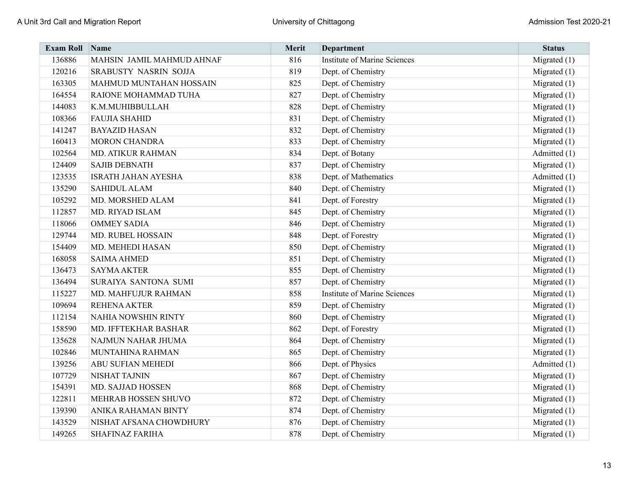| <b>Exam Roll</b> | Name                       | Merit | <b>Department</b>                   | <b>Status</b>  |
|------------------|----------------------------|-------|-------------------------------------|----------------|
| 136886           | MAHSIN JAMIL MAHMUD AHNAF  | 816   | <b>Institute of Marine Sciences</b> | Migrated $(1)$ |
| 120216           | SRABUSTY NASRIN SOJJA      | 819   | Dept. of Chemistry                  | Migrated $(1)$ |
| 163305           | MAHMUD MUNTAHAN HOSSAIN    | 825   | Dept. of Chemistry                  | Migrated $(1)$ |
| 164554           | RAIONE MOHAMMAD TUHA       | 827   | Dept. of Chemistry                  | Migrated $(1)$ |
| 144083           | K.M.MUHIBBULLAH            | 828   | Dept. of Chemistry                  | Migrated $(1)$ |
| 108366           | <b>FAUJIA SHAHID</b>       | 831   | Dept. of Chemistry                  | Migrated (1)   |
| 141247           | <b>BAYAZID HASAN</b>       | 832   | Dept. of Chemistry                  | Migrated $(1)$ |
| 160413           | <b>MORON CHANDRA</b>       | 833   | Dept. of Chemistry                  | Migrated $(1)$ |
| 102564           | <b>MD. ATIKUR RAHMAN</b>   | 834   | Dept. of Botany                     | Admitted (1)   |
| 124409           | <b>SAJIB DEBNATH</b>       | 837   | Dept. of Chemistry                  | Migrated $(1)$ |
| 123535           | <b>ISRATH JAHAN AYESHA</b> | 838   | Dept. of Mathematics                | Admitted (1)   |
| 135290           | <b>SAHIDUL ALAM</b>        | 840   | Dept. of Chemistry                  | Migrated $(1)$ |
| 105292           | MD. MORSHED ALAM           | 841   | Dept. of Forestry                   | Migrated $(1)$ |
| 112857           | MD. RIYAD ISLAM            | 845   | Dept. of Chemistry                  | Migrated $(1)$ |
| 118066           | <b>OMMEY SADIA</b>         | 846   | Dept. of Chemistry                  | Migrated $(1)$ |
| 129744           | <b>MD. RUBEL HOSSAIN</b>   | 848   | Dept. of Forestry                   | Migrated $(1)$ |
| 154409           | MD. MEHEDI HASAN           | 850   | Dept. of Chemistry                  | Migrated $(1)$ |
| 168058           | <b>SAIMA AHMED</b>         | 851   | Dept. of Chemistry                  | Migrated $(1)$ |
| 136473           | <b>SAYMA AKTER</b>         | 855   | Dept. of Chemistry                  | Migrated $(1)$ |
| 136494           | SURAIYA SANTONA SUMI       | 857   | Dept. of Chemistry                  | Migrated $(1)$ |
| 115227           | MD. MAHFUJUR RAHMAN        | 858   | <b>Institute of Marine Sciences</b> | Migrated $(1)$ |
| 109694           | <b>REHENA AKTER</b>        | 859   | Dept. of Chemistry                  | Migrated $(1)$ |
| 112154           | <b>NAHIA NOWSHIN RINTY</b> | 860   | Dept. of Chemistry                  | Migrated $(1)$ |
| 158590           | MD. IFFTEKHAR BASHAR       | 862   | Dept. of Forestry                   | Migrated $(1)$ |
| 135628           | NAJMUN NAHAR JHUMA         | 864   | Dept. of Chemistry                  | Migrated $(1)$ |
| 102846           | MUNTAHINA RAHMAN           | 865   | Dept. of Chemistry                  | Migrated $(1)$ |
| 139256           | <b>ABU SUFIAN MEHEDI</b>   | 866   | Dept. of Physics                    | Admitted (1)   |
| 107729           | <b>NISHAT TAJNIN</b>       | 867   | Dept. of Chemistry                  | Migrated $(1)$ |
| 154391           | MD. SAJJAD HOSSEN          | 868   | Dept. of Chemistry                  | Migrated $(1)$ |
| 122811           | MEHRAB HOSSEN SHUVO        | 872   | Dept. of Chemistry                  | Migrated $(1)$ |
| 139390           | ANIKA RAHAMAN BINTY        | 874   | Dept. of Chemistry                  | Migrated $(1)$ |
| 143529           | NISHAT AFSANA CHOWDHURY    | 876   | Dept. of Chemistry                  | Migrated $(1)$ |
| 149265           | <b>SHAFINAZ FARIHA</b>     | 878   | Dept. of Chemistry                  | Migrated $(1)$ |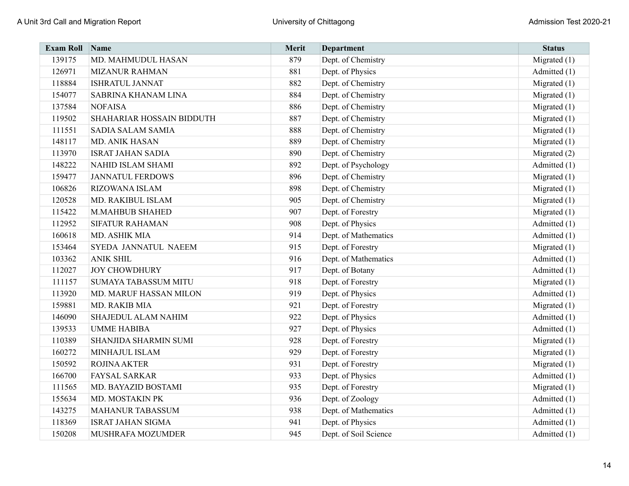| <b>Exam Roll</b> | Name                        | Merit | <b>Department</b>     | <b>Status</b>  |
|------------------|-----------------------------|-------|-----------------------|----------------|
| 139175           | MD. MAHMUDUL HASAN          | 879   | Dept. of Chemistry    | Migrated $(1)$ |
| 126971           | <b>MIZANUR RAHMAN</b>       | 881   | Dept. of Physics      | Admitted (1)   |
| 118884           | <b>ISHRATUL JANNAT</b>      | 882   | Dept. of Chemistry    | Migrated $(1)$ |
| 154077           | SABRINA KHANAM LINA         | 884   | Dept. of Chemistry    | Migrated $(1)$ |
| 137584           | <b>NOFAISA</b>              | 886   | Dept. of Chemistry    | Migrated $(1)$ |
| 119502           | SHAHARIAR HOSSAIN BIDDUTH   | 887   | Dept. of Chemistry    | Migrated $(1)$ |
| 111551           | SADIA SALAM SAMIA           | 888   | Dept. of Chemistry    | Migrated $(1)$ |
| 148117           | <b>MD. ANIK HASAN</b>       | 889   | Dept. of Chemistry    | Migrated $(1)$ |
| 113970           | <b>ISRAT JAHAN SADIA</b>    | 890   | Dept. of Chemistry    | Migrated (2)   |
| 148222           | <b>NAHID ISLAM SHAMI</b>    | 892   | Dept. of Psychology   | Admitted (1)   |
| 159477           | <b>JANNATUL FERDOWS</b>     | 896   | Dept. of Chemistry    | Migrated $(1)$ |
| 106826           | RIZOWANA ISLAM              | 898   | Dept. of Chemistry    | Migrated $(1)$ |
| 120528           | MD. RAKIBUL ISLAM           | 905   | Dept. of Chemistry    | Migrated $(1)$ |
| 115422           | <b>M.MAHBUB SHAHED</b>      | 907   | Dept. of Forestry     | Migrated $(1)$ |
| 112952           | <b>SIFATUR RAHAMAN</b>      | 908   | Dept. of Physics      | Admitted (1)   |
| 160618           | MD. ASHIK MIA               | 914   | Dept. of Mathematics  | Admitted (1)   |
| 153464           | SYEDA JANNATUL NAEEM        | 915   | Dept. of Forestry     | Migrated $(1)$ |
| 103362           | <b>ANIK SHIL</b>            | 916   | Dept. of Mathematics  | Admitted (1)   |
| 112027           | <b>JOY CHOWDHURY</b>        | 917   | Dept. of Botany       | Admitted (1)   |
| 111157           | <b>SUMAYA TABASSUM MITU</b> | 918   | Dept. of Forestry     | Migrated $(1)$ |
| 113920           | MD. MARUF HASSAN MILON      | 919   | Dept. of Physics      | Admitted (1)   |
| 159881           | MD. RAKIB MIA               | 921   | Dept. of Forestry     | Migrated $(1)$ |
| 146090           | <b>SHAJEDUL ALAM NAHIM</b>  | 922   | Dept. of Physics      | Admitted (1)   |
| 139533           | <b>UMME HABIBA</b>          | 927   | Dept. of Physics      | Admitted (1)   |
| 110389           | SHANJIDA SHARMIN SUMI       | 928   | Dept. of Forestry     | Migrated $(1)$ |
| 160272           | MINHAJUL ISLAM              | 929   | Dept. of Forestry     | Migrated $(1)$ |
| 150592           | <b>ROJINA AKTER</b>         | 931   | Dept. of Forestry     | Migrated $(1)$ |
| 166700           | <b>FAYSAL SARKAR</b>        | 933   | Dept. of Physics      | Admitted (1)   |
| 111565           | MD. BAYAZID BOSTAMI         | 935   | Dept. of Forestry     | Migrated $(1)$ |
| 155634           | MD. MOSTAKIN PK             | 936   | Dept. of Zoology      | Admitted (1)   |
| 143275           | <b>MAHANUR TABASSUM</b>     | 938   | Dept. of Mathematics  | Admitted (1)   |
| 118369           | <b>ISRAT JAHAN SIGMA</b>    | 941   | Dept. of Physics      | Admitted (1)   |
| 150208           | MUSHRAFA MOZUMDER           | 945   | Dept. of Soil Science | Admitted (1)   |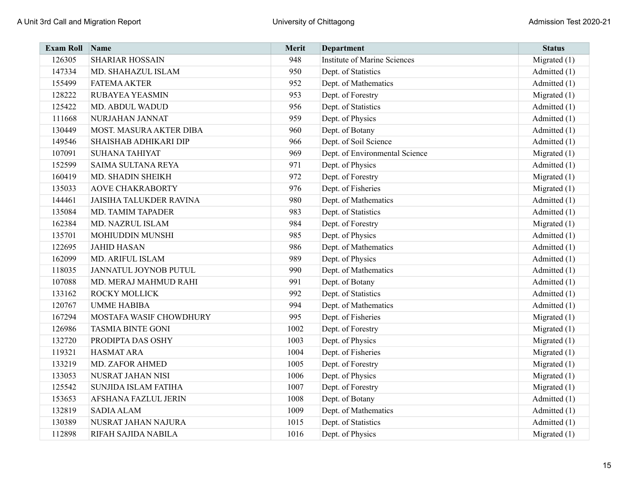| <b>Exam Roll</b> | Name                           | Merit | <b>Department</b>                   | <b>Status</b>  |
|------------------|--------------------------------|-------|-------------------------------------|----------------|
| 126305           | <b>SHARIAR HOSSAIN</b>         | 948   | <b>Institute of Marine Sciences</b> | Migrated $(1)$ |
| 147334           | MD. SHAHAZUL ISLAM             | 950   | Dept. of Statistics                 | Admitted (1)   |
| 155499           | <b>FATEMA AKTER</b>            | 952   | Dept. of Mathematics                | Admitted (1)   |
| 128222           | <b>RUBAYEA YEASMIN</b>         | 953   | Dept. of Forestry                   | Migrated $(1)$ |
| 125422           | MD. ABDUL WADUD                | 956   | Dept. of Statistics                 | Admitted (1)   |
| 111668           | NURJAHAN JANNAT                | 959   | Dept. of Physics                    | Admitted (1)   |
| 130449           | MOST. MASURA AKTER DIBA        | 960   | Dept. of Botany                     | Admitted (1)   |
| 149546           | SHAISHAB ADHIKARI DIP          | 966   | Dept. of Soil Science               | Admitted (1)   |
| 107091           | <b>SUHANA TAHIYAT</b>          | 969   | Dept. of Environmental Science      | Migrated (1)   |
| 152599           | SAIMA SULTANA REYA             | 971   | Dept. of Physics                    | Admitted (1)   |
| 160419           | MD. SHADIN SHEIKH              | 972   | Dept. of Forestry                   | Migrated $(1)$ |
| 135033           | <b>AOVE CHAKRABORTY</b>        | 976   | Dept. of Fisheries                  | Migrated (1)   |
| 144461           | <b>JAISIHA TALUKDER RAVINA</b> | 980   | Dept. of Mathematics                | Admitted (1)   |
| 135084           | MD. TAMIM TAPADER              | 983   | Dept. of Statistics                 | Admitted (1)   |
| 162384           | MD. NAZRUL ISLAM               | 984   | Dept. of Forestry                   | Migrated $(1)$ |
| 135701           | MOHIUDDIN MUNSHI               | 985   | Dept. of Physics                    | Admitted (1)   |
| 122695           | <b>JAHID HASAN</b>             | 986   | Dept. of Mathematics                | Admitted (1)   |
| 162099           | MD. ARIFUL ISLAM               | 989   | Dept. of Physics                    | Admitted (1)   |
| 118035           | JANNATUL JOYNOB PUTUL          | 990   | Dept. of Mathematics                | Admitted (1)   |
| 107088           | MD. MERAJ MAHMUD RAHI          | 991   | Dept. of Botany                     | Admitted (1)   |
| 133162           | ROCKY MOLLICK                  | 992   | Dept. of Statistics                 | Admitted (1)   |
| 120767           | <b>UMME HABIBA</b>             | 994   | Dept. of Mathematics                | Admitted (1)   |
| 167294           | MOSTAFA WASIF CHOWDHURY        | 995   | Dept. of Fisheries                  | Migrated $(1)$ |
| 126986           | <b>TASMIA BINTE GONI</b>       | 1002  | Dept. of Forestry                   | Migrated $(1)$ |
| 132720           | PRODIPTA DAS OSHY              | 1003  | Dept. of Physics                    | Migrated $(1)$ |
| 119321           | <b>HASMAT ARA</b>              | 1004  | Dept. of Fisheries                  | Migrated $(1)$ |
| 133219           | <b>MD. ZAFOR AHMED</b>         | 1005  | Dept. of Forestry                   | Migrated $(1)$ |
| 133053           | NUSRAT JAHAN NISI              | 1006  | Dept. of Physics                    | Migrated $(1)$ |
| 125542           | SUNJIDA ISLAM FATIHA           | 1007  | Dept. of Forestry                   | Migrated $(1)$ |
| 153653           | AFSHANA FAZLUL JERIN           | 1008  | Dept. of Botany                     | Admitted (1)   |
| 132819           | <b>SADIA ALAM</b>              | 1009  | Dept. of Mathematics                | Admitted (1)   |
| 130389           | NUSRAT JAHAN NAJURA            | 1015  | Dept. of Statistics                 | Admitted (1)   |
| 112898           | RIFAH SAJIDA NABILA            | 1016  | Dept. of Physics                    | Migrated $(1)$ |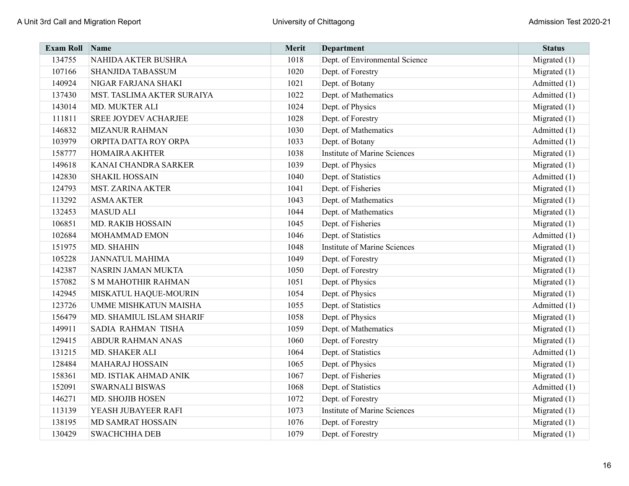| <b>Exam Roll</b> | Name                         | Merit | <b>Department</b>                   | <b>Status</b>  |
|------------------|------------------------------|-------|-------------------------------------|----------------|
| 134755           | NAHIDA AKTER BUSHRA          | 1018  | Dept. of Environmental Science      | Migrated $(1)$ |
| 107166           | SHANJIDA TABASSUM            | 1020  | Dept. of Forestry                   | Migrated $(1)$ |
| 140924           | NIGAR FARJANA SHAKI          | 1021  | Dept. of Botany                     | Admitted (1)   |
| 137430           | MST. TASLIMA AKTER SURAIYA   | 1022  | Dept. of Mathematics                | Admitted (1)   |
| 143014           | MD. MUKTER ALI               | 1024  | Dept. of Physics                    | Migrated $(1)$ |
| 111811           | <b>SREE JOYDEV ACHARJEE</b>  | 1028  | Dept. of Forestry                   | Migrated $(1)$ |
| 146832           | <b>MIZANUR RAHMAN</b>        | 1030  | Dept. of Mathematics                | Admitted (1)   |
| 103979           | ORPITA DATTA ROY ORPA        | 1033  | Dept. of Botany                     | Admitted (1)   |
| 158777           | <b>HOMAIRA AKHTER</b>        | 1038  | <b>Institute of Marine Sciences</b> | Migrated $(1)$ |
| 149618           | KANAI CHANDRA SARKER         | 1039  | Dept. of Physics                    | Migrated $(1)$ |
| 142830           | <b>SHAKIL HOSSAIN</b>        | 1040  | Dept. of Statistics                 | Admitted (1)   |
| 124793           | <b>MST. ZARINA AKTER</b>     | 1041  | Dept. of Fisheries                  | Migrated $(1)$ |
| 113292           | <b>ASMA AKTER</b>            | 1043  | Dept. of Mathematics                | Migrated $(1)$ |
| 132453           | <b>MASUD ALI</b>             | 1044  | Dept. of Mathematics                | Migrated $(1)$ |
| 106851           | <b>MD. RAKIB HOSSAIN</b>     | 1045  | Dept. of Fisheries                  | Migrated $(1)$ |
| 102684           | MOHAMMAD EMON                | 1046  | Dept. of Statistics                 | Admitted (1)   |
| 151975           | MD. SHAHIN                   | 1048  | Institute of Marine Sciences        | Migrated $(1)$ |
| 105228           | <b>JANNATUL MAHIMA</b>       | 1049  | Dept. of Forestry                   | Migrated $(1)$ |
| 142387           | NASRIN JAMAN MUKTA           | 1050  | Dept. of Forestry                   | Migrated $(1)$ |
| 157082           | <b>S M MAHOTHIR RAHMAN</b>   | 1051  | Dept. of Physics                    | Migrated $(1)$ |
| 142945           | MISKATUL HAQUE-MOURIN        | 1054  | Dept. of Physics                    | Migrated $(1)$ |
| 123726           | <b>UMME MISHKATUN MAISHA</b> | 1055  | Dept. of Statistics                 | Admitted (1)   |
| 156479           | MD. SHAMIUL ISLAM SHARIF     | 1058  | Dept. of Physics                    | Migrated $(1)$ |
| 149911           | SADIA RAHMAN TISHA           | 1059  | Dept. of Mathematics                | Migrated $(1)$ |
| 129415           | <b>ABDUR RAHMAN ANAS</b>     | 1060  | Dept. of Forestry                   | Migrated $(1)$ |
| 131215           | MD. SHAKER ALI               | 1064  | Dept. of Statistics                 | Admitted (1)   |
| 128484           | <b>MAHARAJ HOSSAIN</b>       | 1065  | Dept. of Physics                    | Migrated $(1)$ |
| 158361           | MD. ISTIAK AHMAD ANIK        | 1067  | Dept. of Fisheries                  | Migrated $(1)$ |
| 152091           | <b>SWARNALI BISWAS</b>       | 1068  | Dept. of Statistics                 | Admitted (1)   |
| 146271           | MD. SHOJIB HOSEN             | 1072  | Dept. of Forestry                   | Migrated $(1)$ |
| 113139           | YEASH JUBAYEER RAFI          | 1073  | <b>Institute of Marine Sciences</b> | Migrated $(1)$ |
| 138195           | MD SAMRAT HOSSAIN            | 1076  | Dept. of Forestry                   | Migrated $(1)$ |
| 130429           | <b>SWACHCHHA DEB</b>         | 1079  | Dept. of Forestry                   | Migrated $(1)$ |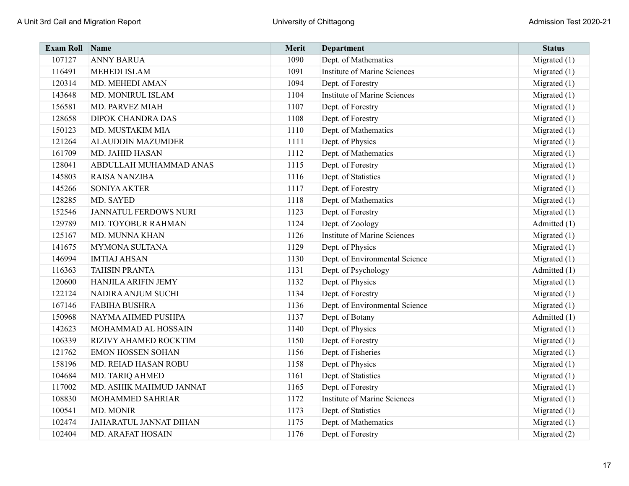| <b>Exam Roll</b> | Name                         | Merit | <b>Department</b>                   | <b>Status</b>  |
|------------------|------------------------------|-------|-------------------------------------|----------------|
| 107127           | <b>ANNY BARUA</b>            | 1090  | Dept. of Mathematics                | Migrated $(1)$ |
| 116491           | <b>MEHEDI ISLAM</b>          | 1091  | <b>Institute of Marine Sciences</b> | Migrated $(1)$ |
| 120314           | MD. MEHEDI AMAN              | 1094  | Dept. of Forestry                   | Migrated $(1)$ |
| 143648           | MD. MONIRUL ISLAM            | 1104  | <b>Institute of Marine Sciences</b> | Migrated $(1)$ |
| 156581           | <b>MD. PARVEZ MIAH</b>       | 1107  | Dept. of Forestry                   | Migrated $(1)$ |
| 128658           | <b>DIPOK CHANDRA DAS</b>     | 1108  | Dept. of Forestry                   | Migrated $(1)$ |
| 150123           | MD. MUSTAKIM MIA             | 1110  | Dept. of Mathematics                | Migrated $(1)$ |
| 121264           | <b>ALAUDDIN MAZUMDER</b>     | 1111  | Dept. of Physics                    | Migrated $(1)$ |
| 161709           | MD. JAHID HASAN              | 1112  | Dept. of Mathematics                | Migrated $(1)$ |
| 128041           | ABDULLAH MUHAMMAD ANAS       | 1115  | Dept. of Forestry                   | Migrated $(1)$ |
| 145803           | <b>RAISA NANZIBA</b>         | 1116  | Dept. of Statistics                 | Migrated $(1)$ |
| 145266           | <b>SONIYA AKTER</b>          | 1117  | Dept. of Forestry                   | Migrated $(1)$ |
| 128285           | MD. SAYED                    | 1118  | Dept. of Mathematics                | Migrated $(1)$ |
| 152546           | <b>JANNATUL FERDOWS NURI</b> | 1123  | Dept. of Forestry                   | Migrated $(1)$ |
| 129789           | MD. TOYOBUR RAHMAN           | 1124  | Dept. of Zoology                    | Admitted (1)   |
| 125167           | MD. MUNNA KHAN               | 1126  | <b>Institute of Marine Sciences</b> | Migrated $(1)$ |
| 141675           | <b>MYMONA SULTANA</b>        | 1129  | Dept. of Physics                    | Migrated $(1)$ |
| 146994           | <b>IMTIAJ AHSAN</b>          | 1130  | Dept. of Environmental Science      | Migrated $(1)$ |
| 116363           | <b>TAHSIN PRANTA</b>         | 1131  | Dept. of Psychology                 | Admitted (1)   |
| 120600           | <b>HANJILA ARIFIN JEMY</b>   | 1132  | Dept. of Physics                    | Migrated $(1)$ |
| 122124           | NADIRA ANJUM SUCHI           | 1134  | Dept. of Forestry                   | Migrated $(1)$ |
| 167146           | <b>FABIHA BUSHRA</b>         | 1136  | Dept. of Environmental Science      | Migrated $(1)$ |
| 150968           | NAYMA AHMED PUSHPA           | 1137  | Dept. of Botany                     | Admitted (1)   |
| 142623           | MOHAMMAD AL HOSSAIN          | 1140  | Dept. of Physics                    | Migrated $(1)$ |
| 106339           | RIZIVY AHAMED ROCKTIM        | 1150  | Dept. of Forestry                   | Migrated $(1)$ |
| 121762           | <b>EMON HOSSEN SOHAN</b>     | 1156  | Dept. of Fisheries                  | Migrated $(1)$ |
| 158196           | MD. REIAD HASAN ROBU         | 1158  | Dept. of Physics                    | Migrated $(1)$ |
| 104684           | MD. TARIQ AHMED              | 1161  | Dept. of Statistics                 | Migrated $(1)$ |
| 117002           | MD. ASHIK MAHMUD JANNAT      | 1165  | Dept. of Forestry                   | Migrated $(1)$ |
| 108830           | MOHAMMED SAHRIAR             | 1172  | <b>Institute of Marine Sciences</b> | Migrated $(1)$ |
| 100541           | MD. MONIR                    | 1173  | Dept. of Statistics                 | Migrated $(1)$ |
| 102474           | JAHARATUL JANNAT DIHAN       | 1175  | Dept. of Mathematics                | Migrated $(1)$ |
| 102404           | MD. ARAFAT HOSAIN            | 1176  | Dept. of Forestry                   | Migrated $(2)$ |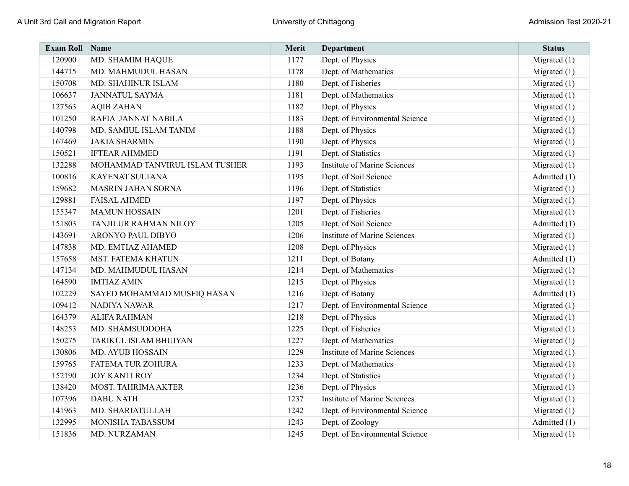| <b>Exam Roll</b> | Name                           | Merit | <b>Department</b>                   | <b>Status</b>  |
|------------------|--------------------------------|-------|-------------------------------------|----------------|
| 120900           | MD. SHAMIM HAQUE               | 1177  | Dept. of Physics                    | Migrated $(1)$ |
| 144715           | MD. MAHMUDUL HASAN             | 1178  | Dept. of Mathematics                | Migrated $(1)$ |
| 150708           | MD. SHAHINUR ISLAM             | 1180  | Dept. of Fisheries                  | Migrated $(1)$ |
| 106637           | <b>JANNATUL SAYMA</b>          | 1181  | Dept. of Mathematics                | Migrated $(1)$ |
| 127563           | <b>AQIB ZAHAN</b>              | 1182  | Dept. of Physics                    | Migrated $(1)$ |
| 101250           | RAFIA JANNAT NABILA            | 1183  | Dept. of Environmental Science      | Migrated $(1)$ |
| 140798           | MD. SAMIUL ISLAM TANIM         | 1188  | Dept. of Physics                    | Migrated $(1)$ |
| 167469           | <b>JAKIA SHARMIN</b>           | 1190  | Dept. of Physics                    | Migrated $(1)$ |
| 150521           | <b>IFTEAR AHMMED</b>           | 1191  | Dept. of Statistics                 | Migrated $(1)$ |
| 132288           | MOHAMMAD TANVIRUL ISLAM TUSHER | 1193  | <b>Institute of Marine Sciences</b> | Migrated $(1)$ |
| 100816           | <b>KAYENAT SULTANA</b>         | 1195  | Dept. of Soil Science               | Admitted (1)   |
| 159682           | <b>MASRIN JAHAN SORNA</b>      | 1196  | Dept. of Statistics                 | Migrated $(1)$ |
| 129881           | <b>FAISAL AHMED</b>            | 1197  | Dept. of Physics                    | Migrated $(1)$ |
| 155347           | <b>MAMUN HOSSAIN</b>           | 1201  | Dept. of Fisheries                  | Migrated $(1)$ |
| 151803           | TANJILUR RAHMAN NILOY          | 1205  | Dept. of Soil Science               | Admitted (1)   |
| 143691           | ARONYO PAUL DIBYO              | 1206  | <b>Institute of Marine Sciences</b> | Migrated $(1)$ |
| 147838           | MD. EMTIAZ AHAMED              | 1208  | Dept. of Physics                    | Migrated $(1)$ |
| 157658           | <b>MST. FATEMA KHATUN</b>      | 1211  | Dept. of Botany                     | Admitted (1)   |
| 147134           | MD. MAHMUDUL HASAN             | 1214  | Dept. of Mathematics                | Migrated $(1)$ |
| 164590           | <b>IMTIAZ AMIN</b>             | 1215  | Dept. of Physics                    | Migrated $(1)$ |
| 102229           | SAYED MOHAMMAD MUSFIQ HASAN    | 1216  | Dept. of Botany                     | Admitted (1)   |
| 109412           | NADIYA NAWAR                   | 1217  | Dept. of Environmental Science      | Migrated $(1)$ |
| 164379           | <b>ALIFA RAHMAN</b>            | 1218  | Dept. of Physics                    | Migrated $(1)$ |
| 148253           | MD. SHAMSUDDOHA                | 1225  | Dept. of Fisheries                  | Migrated $(1)$ |
| 150275           | TARIKUL ISLAM BHUIYAN          | 1227  | Dept. of Mathematics                | Migrated $(1)$ |
| 130806           | <b>MD. AYUB HOSSAIN</b>        | 1229  | <b>Institute of Marine Sciences</b> | Migrated $(1)$ |
| 159765           | <b>FATEMA TUR ZOHURA</b>       | 1233  | Dept. of Mathematics                | Migrated $(1)$ |
| 152190           | <b>JOY KANTI ROY</b>           | 1234  | Dept. of Statistics                 | Migrated $(1)$ |
| 138420           | MOST. TAHRIMA AKTER            | 1236  | Dept. of Physics                    | Migrated $(1)$ |
| 107396           | <b>DABU NATH</b>               | 1237  | <b>Institute of Marine Sciences</b> | Migrated $(1)$ |
| 141963           | MD. SHARIATULLAH               | 1242  | Dept. of Environmental Science      | Migrated $(1)$ |
| 132995           | MONISHA TABASSUM               | 1243  | Dept. of Zoology                    | Admitted (1)   |
| 151836           | MD. NURZAMAN                   | 1245  | Dept. of Environmental Science      | Migrated $(1)$ |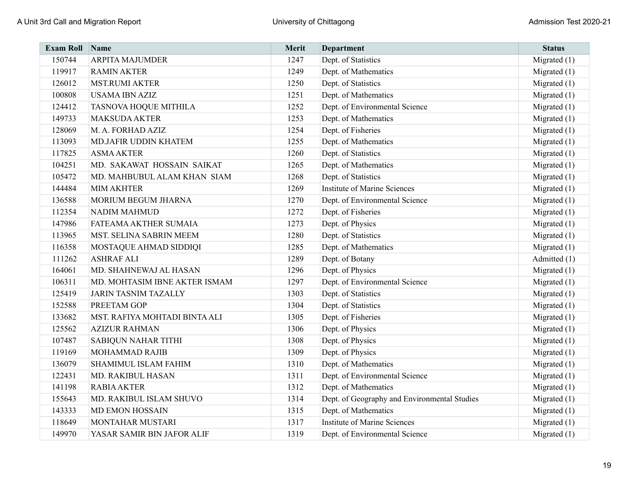| <b>Exam Roll</b> | <b>Name</b>                   | Merit | <b>Department</b>                            | <b>Status</b>  |
|------------------|-------------------------------|-------|----------------------------------------------|----------------|
| 150744           | <b>ARPITA MAJUMDER</b>        | 1247  | Dept. of Statistics                          | Migrated $(1)$ |
| 119917           | <b>RAMIN AKTER</b>            | 1249  | Dept. of Mathematics                         | Migrated $(1)$ |
| 126012           | <b>MST.RUMI AKTER</b>         | 1250  | Dept. of Statistics                          | Migrated $(1)$ |
| 100808           | <b>USAMA IBN AZIZ</b>         | 1251  | Dept. of Mathematics                         | Migrated $(1)$ |
| 124412           | TASNOVA HOQUE MITHILA         | 1252  | Dept. of Environmental Science               | Migrated $(1)$ |
| 149733           | <b>MAKSUDA AKTER</b>          | 1253  | Dept. of Mathematics                         | Migrated $(1)$ |
| 128069           | M. A. FORHAD AZIZ             | 1254  | Dept. of Fisheries                           | Migrated $(1)$ |
| 113093           | MD.JAFIR UDDIN KHATEM         | 1255  | Dept. of Mathematics                         | Migrated $(1)$ |
| 117825           | <b>ASMA AKTER</b>             | 1260  | Dept. of Statistics                          | Migrated $(1)$ |
| 104251           | MD. SAKAWAT HOSSAIN SAIKAT    | 1265  | Dept. of Mathematics                         | Migrated $(1)$ |
| 105472           | MD. MAHBUBUL ALAM KHAN SIAM   | 1268  | Dept. of Statistics                          | Migrated $(1)$ |
| 144484           | <b>MIM AKHTER</b>             | 1269  | <b>Institute of Marine Sciences</b>          | Migrated (1)   |
| 136588           | MORIUM BEGUM JHARNA           | 1270  | Dept. of Environmental Science               | Migrated $(1)$ |
| 112354           | <b>NADIM MAHMUD</b>           | 1272  | Dept. of Fisheries                           | Migrated $(1)$ |
| 147986           | FATEAMA AKTHER SUMAIA         | 1273  | Dept. of Physics                             | Migrated $(1)$ |
| 113965           | MST. SELINA SABRIN MEEM       | 1280  | Dept. of Statistics                          | Migrated $(1)$ |
| 116358           | MOSTAQUE AHMAD SIDDIQI        | 1285  | Dept. of Mathematics                         | Migrated $(1)$ |
| 111262           | <b>ASHRAF ALI</b>             | 1289  | Dept. of Botany                              | Admitted (1)   |
| 164061           | MD. SHAHNEWAJ AL HASAN        | 1296  | Dept. of Physics                             | Migrated $(1)$ |
| 106311           | MD. MOHTASIM IBNE AKTER ISMAM | 1297  | Dept. of Environmental Science               | Migrated $(1)$ |
| 125419           | <b>JARIN TASNIM TAZALLY</b>   | 1303  | Dept. of Statistics                          | Migrated $(1)$ |
| 152588           | PREETAM GOP                   | 1304  | Dept. of Statistics                          | Migrated (1)   |
| 133682           | MST. RAFIYA MOHTADI BINTA ALI | 1305  | Dept. of Fisheries                           | Migrated $(1)$ |
| 125562           | <b>AZIZUR RAHMAN</b>          | 1306  | Dept. of Physics                             | Migrated $(1)$ |
| 107487           | <b>SABIQUN NAHAR TITHI</b>    | 1308  | Dept. of Physics                             | Migrated $(1)$ |
| 119169           | MOHAMMAD RAJIB                | 1309  | Dept. of Physics                             | Migrated $(1)$ |
| 136079           | <b>SHAMIMUL ISLAM FAHIM</b>   | 1310  | Dept. of Mathematics                         | Migrated $(1)$ |
| 122431           | MD. RAKIBUL HASAN             | 1311  | Dept. of Environmental Science               | Migrated $(1)$ |
| 141198           | <b>RABIA AKTER</b>            | 1312  | Dept. of Mathematics                         | Migrated $(1)$ |
| 155643           | MD. RAKIBUL ISLAM SHUVO       | 1314  | Dept. of Geography and Environmental Studies | Migrated $(1)$ |
| 143333           | <b>MD EMON HOSSAIN</b>        | 1315  | Dept. of Mathematics                         | Migrated (1)   |
| 118649           | MONTAHAR MUSTARI              | 1317  | <b>Institute of Marine Sciences</b>          | Migrated $(1)$ |
| 149970           | YASAR SAMIR BIN JAFOR ALIF    | 1319  | Dept. of Environmental Science               | Migrated $(1)$ |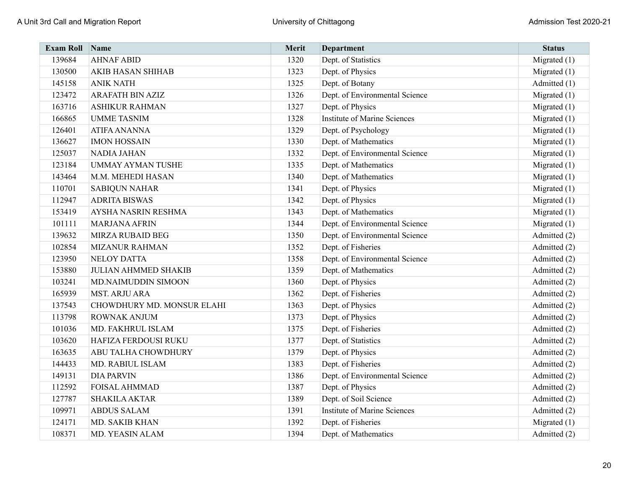| <b>Exam Roll</b> | Name                        | Merit | <b>Department</b>                   | <b>Status</b>  |
|------------------|-----------------------------|-------|-------------------------------------|----------------|
| 139684           | <b>AHNAF ABID</b>           | 1320  | Dept. of Statistics                 | Migrated $(1)$ |
| 130500           | <b>AKIB HASAN SHIHAB</b>    | 1323  | Dept. of Physics                    | Migrated $(1)$ |
| 145158           | <b>ANIK NATH</b>            | 1325  | Dept. of Botany                     | Admitted (1)   |
| 123472           | <b>ARAFATH BIN AZIZ</b>     | 1326  | Dept. of Environmental Science      | Migrated $(1)$ |
| 163716           | <b>ASHIKUR RAHMAN</b>       | 1327  | Dept. of Physics                    | Migrated (1)   |
| 166865           | <b>UMME TASNIM</b>          | 1328  | <b>Institute of Marine Sciences</b> | Migrated (1)   |
| 126401           | <b>ATIFA ANANNA</b>         | 1329  | Dept. of Psychology                 | Migrated $(1)$ |
| 136627           | <b>IMON HOSSAIN</b>         | 1330  | Dept. of Mathematics                | Migrated $(1)$ |
| 125037           | <b>NADIA JAHAN</b>          | 1332  | Dept. of Environmental Science      | Migrated $(1)$ |
| 123184           | <b>UMMAY AYMAN TUSHE</b>    | 1335  | Dept. of Mathematics                | Migrated (1)   |
| 143464           | M.M. MEHEDI HASAN           | 1340  | Dept. of Mathematics                | Migrated $(1)$ |
| 110701           | <b>SABIQUN NAHAR</b>        | 1341  | Dept. of Physics                    | Migrated $(1)$ |
| 112947           | <b>ADRITA BISWAS</b>        | 1342  | Dept. of Physics                    | Migrated $(1)$ |
| 153419           | AYSHA NASRIN RESHMA         | 1343  | Dept. of Mathematics                | Migrated $(1)$ |
| 101111           | <b>MARJANA AFRIN</b>        | 1344  | Dept. of Environmental Science      | Migrated $(1)$ |
| 139632           | MIRZA RUBAID BEG            | 1350  | Dept. of Environmental Science      | Admitted (2)   |
| 102854           | <b>MIZANUR RAHMAN</b>       | 1352  | Dept. of Fisheries                  | Admitted (2)   |
| 123950           | <b>NELOY DATTA</b>          | 1358  | Dept. of Environmental Science      | Admitted (2)   |
| 153880           | <b>JULIAN AHMMED SHAKIB</b> | 1359  | Dept. of Mathematics                | Admitted (2)   |
| 103241           | MD.NAIMUDDIN SIMOON         | 1360  | Dept. of Physics                    | Admitted (2)   |
| 165939           | <b>MST. ARJU ARA</b>        | 1362  | Dept. of Fisheries                  | Admitted (2)   |
| 137543           | CHOWDHURY MD. MONSUR ELAHI  | 1363  | Dept. of Physics                    | Admitted (2)   |
| 113798           | ROWNAK ANJUM                | 1373  | Dept. of Physics                    | Admitted (2)   |
| 101036           | MD. FAKHRUL ISLAM           | 1375  | Dept. of Fisheries                  | Admitted (2)   |
| 103620           | HAFIZA FERDOUSI RUKU        | 1377  | Dept. of Statistics                 | Admitted (2)   |
| 163635           | ABU TALHA CHOWDHURY         | 1379  | Dept. of Physics                    | Admitted (2)   |
| 144433           | MD. RABIUL ISLAM            | 1383  | Dept. of Fisheries                  | Admitted (2)   |
| 149131           | <b>DIA PARVIN</b>           | 1386  | Dept. of Environmental Science      | Admitted (2)   |
| 112592           | <b>FOISAL AHMMAD</b>        | 1387  | Dept. of Physics                    | Admitted (2)   |
| 127787           | <b>SHAKILA AKTAR</b>        | 1389  | Dept. of Soil Science               | Admitted (2)   |
| 109971           | <b>ABDUS SALAM</b>          | 1391  | <b>Institute of Marine Sciences</b> | Admitted (2)   |
| 124171           | MD. SAKIB KHAN              | 1392  | Dept. of Fisheries                  | Migrated $(1)$ |
| 108371           | MD. YEASIN ALAM             | 1394  | Dept. of Mathematics                | Admitted (2)   |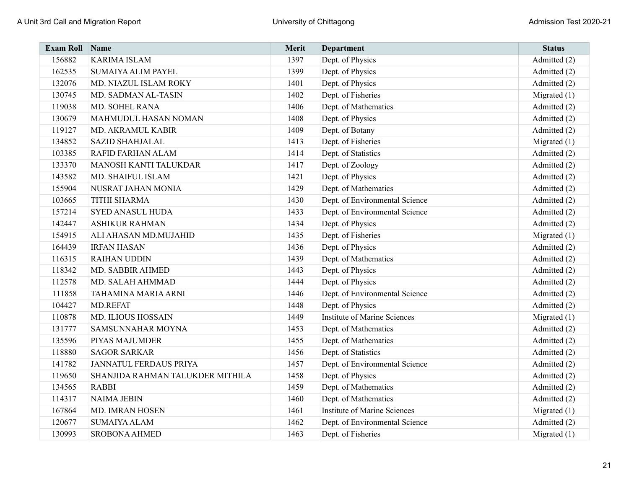| <b>Exam Roll</b> | $\sum_{ }$ Name                  | Merit | <b>Department</b>                   | <b>Status</b>  |
|------------------|----------------------------------|-------|-------------------------------------|----------------|
| 156882           | <b>KARIMA ISLAM</b>              | 1397  | Dept. of Physics                    | Admitted (2)   |
| 162535           | <b>SUMAIYA ALIM PAYEL</b>        | 1399  | Dept. of Physics                    | Admitted (2)   |
| 132076           | MD. NIAZUL ISLAM ROKY            | 1401  | Dept. of Physics                    | Admitted (2)   |
| 130745           | MD. SADMAN AL-TASIN              | 1402  | Dept. of Fisheries                  | Migrated $(1)$ |
| 119038           | MD. SOHEL RANA                   | 1406  | Dept. of Mathematics                | Admitted (2)   |
| 130679           | <b>MAHMUDUL HASAN NOMAN</b>      | 1408  | Dept. of Physics                    | Admitted (2)   |
| 119127           | MD. AKRAMUL KABIR                | 1409  | Dept. of Botany                     | Admitted (2)   |
| 134852           | <b>SAZID SHAHJALAL</b>           | 1413  | Dept. of Fisheries                  | Migrated $(1)$ |
| 103385           | RAFID FARHAN ALAM                | 1414  | Dept. of Statistics                 | Admitted (2)   |
| 133370           | MANOSH KANTI TALUKDAR            | 1417  | Dept. of Zoology                    | Admitted (2)   |
| 143582           | MD. SHAIFUL ISLAM                | 1421  | Dept. of Physics                    | Admitted (2)   |
| 155904           | NUSRAT JAHAN MONIA               | 1429  | Dept. of Mathematics                | Admitted (2)   |
| 103665           | <b>TITHI SHARMA</b>              | 1430  | Dept. of Environmental Science      | Admitted (2)   |
| 157214           | <b>SYED ANASUL HUDA</b>          | 1433  | Dept. of Environmental Science      | Admitted (2)   |
| 142447           | <b>ASHIKUR RAHMAN</b>            | 1434  | Dept. of Physics                    | Admitted (2)   |
| 154915           | ALI AHASAN MD.MUJAHID            | 1435  | Dept. of Fisheries                  | Migrated $(1)$ |
| 164439           | <b>IRFAN HASAN</b>               | 1436  | Dept. of Physics                    | Admitted (2)   |
| 116315           | <b>RAIHAN UDDIN</b>              | 1439  | Dept. of Mathematics                | Admitted (2)   |
| 118342           | MD. SABBIR AHMED                 | 1443  | Dept. of Physics                    | Admitted (2)   |
| 112578           | MD. SALAH AHMMAD                 | 1444  | Dept. of Physics                    | Admitted (2)   |
| 111858           | TAHAMINA MARIA ARNI              | 1446  | Dept. of Environmental Science      | Admitted (2)   |
| 104427           | <b>MD.REFAT</b>                  | 1448  | Dept. of Physics                    | Admitted (2)   |
| 110878           | <b>MD. ILIOUS HOSSAIN</b>        | 1449  | <b>Institute of Marine Sciences</b> | Migrated $(1)$ |
| 131777           | SAMSUNNAHAR MOYNA                | 1453  | Dept. of Mathematics                | Admitted (2)   |
| 135596           | PIYAS MAJUMDER                   | 1455  | Dept. of Mathematics                | Admitted (2)   |
| 118880           | <b>SAGOR SARKAR</b>              | 1456  | Dept. of Statistics                 | Admitted (2)   |
| 141782           | <b>JANNATUL FERDAUS PRIYA</b>    | 1457  | Dept. of Environmental Science      | Admitted (2)   |
| 119650           | SHANJIDA RAHMAN TALUKDER MITHILA | 1458  | Dept. of Physics                    | Admitted (2)   |
| 134565           | <b>RABBI</b>                     | 1459  | Dept. of Mathematics                | Admitted (2)   |
| 114317           | <b>NAIMA JEBIN</b>               | 1460  | Dept. of Mathematics                | Admitted (2)   |
| 167864           | MD. IMRAN HOSEN                  | 1461  | <b>Institute of Marine Sciences</b> | Migrated $(1)$ |
| 120677           | <b>SUMAIYA ALAM</b>              | 1462  | Dept. of Environmental Science      | Admitted (2)   |
| 130993           | <b>SROBONA AHMED</b>             | 1463  | Dept. of Fisheries                  | Migrated $(1)$ |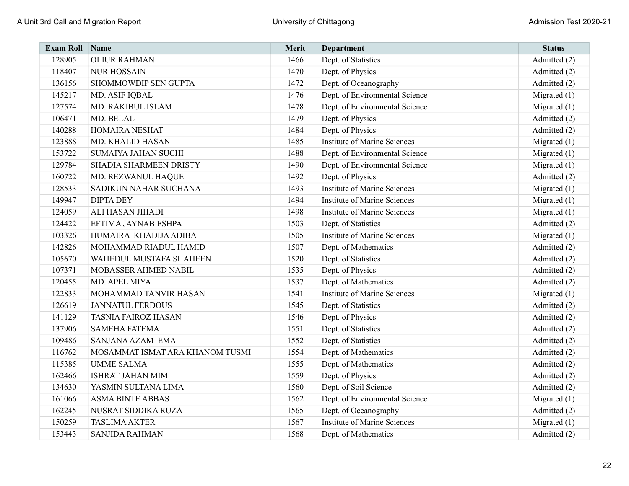| <b>Exam Roll</b> | Name                            | Merit | <b>Department</b>                   | <b>Status</b>  |
|------------------|---------------------------------|-------|-------------------------------------|----------------|
| 128905           | <b>OLIUR RAHMAN</b>             | 1466  | Dept. of Statistics                 | Admitted (2)   |
| 118407           | <b>NUR HOSSAIN</b>              | 1470  | Dept. of Physics                    | Admitted (2)   |
| 136156           | SHOMMOWDIP SEN GUPTA            | 1472  | Dept. of Oceanography               | Admitted (2)   |
| 145217           | MD. ASIF IQBAL                  | 1476  | Dept. of Environmental Science      | Migrated $(1)$ |
| 127574           | MD. RAKIBUL ISLAM               | 1478  | Dept. of Environmental Science      | Migrated $(1)$ |
| 106471           | MD. BELAL                       | 1479  | Dept. of Physics                    | Admitted (2)   |
| 140288           | <b>HOMAIRA NESHAT</b>           | 1484  | Dept. of Physics                    | Admitted (2)   |
| 123888           | MD. KHALID HASAN                | 1485  | <b>Institute of Marine Sciences</b> | Migrated $(1)$ |
| 153722           | <b>SUMAIYA JAHAN SUCHI</b>      | 1488  | Dept. of Environmental Science      | Migrated (1)   |
| 129784           | SHADIA SHARMEEN DRISTY          | 1490  | Dept. of Environmental Science      | Migrated (1)   |
| 160722           | MD. REZWANUL HAQUE              | 1492  | Dept. of Physics                    | Admitted (2)   |
| 128533           | SADIKUN NAHAR SUCHANA           | 1493  | <b>Institute of Marine Sciences</b> | Migrated (1)   |
| 149947           | <b>DIPTA DEY</b>                | 1494  | <b>Institute of Marine Sciences</b> | Migrated $(1)$ |
| 124059           | ALI HASAN JIHADI                | 1498  | <b>Institute of Marine Sciences</b> | Migrated $(1)$ |
| 124422           | EFTIMA JAYNAB ESHPA             | 1503  | Dept. of Statistics                 | Admitted (2)   |
| 103326           | HUMAIRA KHADIJA ADIBA           | 1505  | <b>Institute of Marine Sciences</b> | Migrated $(1)$ |
| 142826           | MOHAMMAD RIADUL HAMID           | 1507  | Dept. of Mathematics                | Admitted (2)   |
| 105670           | WAHEDUL MUSTAFA SHAHEEN         | 1520  | Dept. of Statistics                 | Admitted (2)   |
| 107371           | MOBASSER AHMED NABIL            | 1535  | Dept. of Physics                    | Admitted (2)   |
| 120455           | MD. APEL MIYA                   | 1537  | Dept. of Mathematics                | Admitted (2)   |
| 122833           | MOHAMMAD TANVIR HASAN           | 1541  | <b>Institute of Marine Sciences</b> | Migrated $(1)$ |
| 126619           | <b>JANNATUL FERDOUS</b>         | 1545  | Dept. of Statistics                 | Admitted (2)   |
| 141129           | <b>TASNIA FAIROZ HASAN</b>      | 1546  | Dept. of Physics                    | Admitted (2)   |
| 137906           | <b>SAMEHA FATEMA</b>            | 1551  | Dept. of Statistics                 | Admitted (2)   |
| 109486           | SANJANA AZAM EMA                | 1552  | Dept. of Statistics                 | Admitted (2)   |
| 116762           | MOSAMMAT ISMAT ARA KHANOM TUSMI | 1554  | Dept. of Mathematics                | Admitted (2)   |
| 115385           | <b>UMME SALMA</b>               | 1555  | Dept. of Mathematics                | Admitted (2)   |
| 162466           | <b>ISHRAT JAHAN MIM</b>         | 1559  | Dept. of Physics                    | Admitted (2)   |
| 134630           | YASMIN SULTANA LIMA             | 1560  | Dept. of Soil Science               | Admitted (2)   |
| 161066           | <b>ASMA BINTE ABBAS</b>         | 1562  | Dept. of Environmental Science      | Migrated $(1)$ |
| 162245           | NUSRAT SIDDIKA RUZA             | 1565  | Dept. of Oceanography               | Admitted (2)   |
| 150259           | <b>TASLIMA AKTER</b>            | 1567  | <b>Institute of Marine Sciences</b> | Migrated (1)   |
| 153443           | <b>SANJIDA RAHMAN</b>           | 1568  | Dept. of Mathematics                | Admitted (2)   |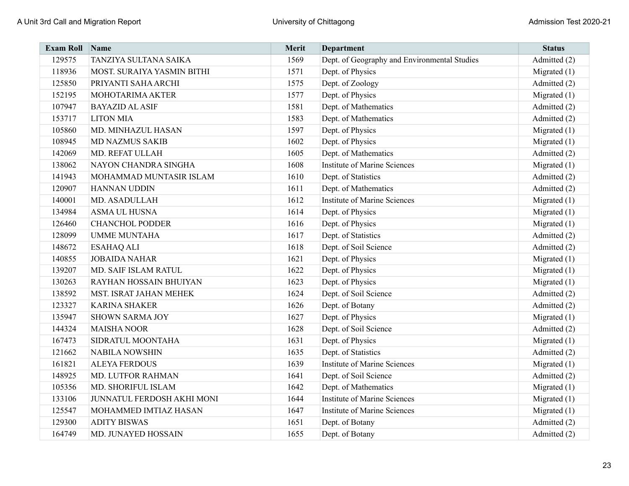| <b>Exam Roll</b> | Name                       | Merit | <b>Department</b>                            | <b>Status</b>  |
|------------------|----------------------------|-------|----------------------------------------------|----------------|
| 129575           | TANZIYA SULTANA SAIKA      | 1569  | Dept. of Geography and Environmental Studies | Admitted (2)   |
| 118936           | MOST. SURAIYA YASMIN BITHI | 1571  | Dept. of Physics                             | Migrated $(1)$ |
| 125850           | PRIYANTI SAHA ARCHI        | 1575  | Dept. of Zoology                             | Admitted (2)   |
| 152195           | MOHOTARIMA AKTER           | 1577  | Dept. of Physics                             | Migrated $(1)$ |
| 107947           | <b>BAYAZID AL ASIF</b>     | 1581  | Dept. of Mathematics                         | Admitted (2)   |
| 153717           | <b>LITON MIA</b>           | 1583  | Dept. of Mathematics                         | Admitted (2)   |
| 105860           | MD. MINHAZUL HASAN         | 1597  | Dept. of Physics                             | Migrated $(1)$ |
| 108945           | <b>MD NAZMUS SAKIB</b>     | 1602  | Dept. of Physics                             | Migrated $(1)$ |
| 142069           | MD. REFAT ULLAH            | 1605  | Dept. of Mathematics                         | Admitted (2)   |
| 138062           | NAYON CHANDRA SINGHA       | 1608  | <b>Institute of Marine Sciences</b>          | Migrated $(1)$ |
| 141943           | MOHAMMAD MUNTASIR ISLAM    | 1610  | Dept. of Statistics                          | Admitted (2)   |
| 120907           | HANNAN UDDIN               | 1611  | Dept. of Mathematics                         | Admitted (2)   |
| 140001           | MD. ASADULLAH              | 1612  | <b>Institute of Marine Sciences</b>          | Migrated $(1)$ |
| 134984           | ASMA UL HUSNA              | 1614  | Dept. of Physics                             | Migrated $(1)$ |
| 126460           | <b>CHANCHOL PODDER</b>     | 1616  | Dept. of Physics                             | Migrated $(1)$ |
| 128099           | <b>UMME MUNTAHA</b>        | 1617  | Dept. of Statistics                          | Admitted (2)   |
| 148672           | <b>ESAHAQ ALI</b>          | 1618  | Dept. of Soil Science                        | Admitted (2)   |
| 140855           | <b>JOBAIDA NAHAR</b>       | 1621  | Dept. of Physics                             | Migrated $(1)$ |
| 139207           | MD. SAIF ISLAM RATUL       | 1622  | Dept. of Physics                             | Migrated $(1)$ |
| 130263           | RAYHAN HOSSAIN BHUIYAN     | 1623  | Dept. of Physics                             | Migrated $(1)$ |
| 138592           | MST. ISRAT JAHAN MEHEK     | 1624  | Dept. of Soil Science                        | Admitted (2)   |
| 123327           | <b>KARINA SHAKER</b>       | 1626  | Dept. of Botany                              | Admitted (2)   |
| 135947           | <b>SHOWN SARMA JOY</b>     | 1627  | Dept. of Physics                             | Migrated $(1)$ |
| 144324           | <b>MAISHA NOOR</b>         | 1628  | Dept. of Soil Science                        | Admitted (2)   |
| 167473           | SIDRATUL MOONTAHA          | 1631  | Dept. of Physics                             | Migrated $(1)$ |
| 121662           | <b>NABILA NOWSHIN</b>      | 1635  | Dept. of Statistics                          | Admitted (2)   |
| 161821           | <b>ALEYA FERDOUS</b>       | 1639  | <b>Institute of Marine Sciences</b>          | Migrated $(1)$ |
| 148925           | MD. LUTFOR RAHMAN          | 1641  | Dept. of Soil Science                        | Admitted (2)   |
| 105356           | MD. SHORIFUL ISLAM         | 1642  | Dept. of Mathematics                         | Migrated $(1)$ |
| 133106           | JUNNATUL FERDOSH AKHI MONI | 1644  | <b>Institute of Marine Sciences</b>          | Migrated $(1)$ |
| 125547           | MOHAMMED IMTIAZ HASAN      | 1647  | <b>Institute of Marine Sciences</b>          | Migrated $(1)$ |
| 129300           | <b>ADITY BISWAS</b>        | 1651  | Dept. of Botany                              | Admitted (2)   |
| 164749           | MD. JUNAYED HOSSAIN        | 1655  | Dept. of Botany                              | Admitted (2)   |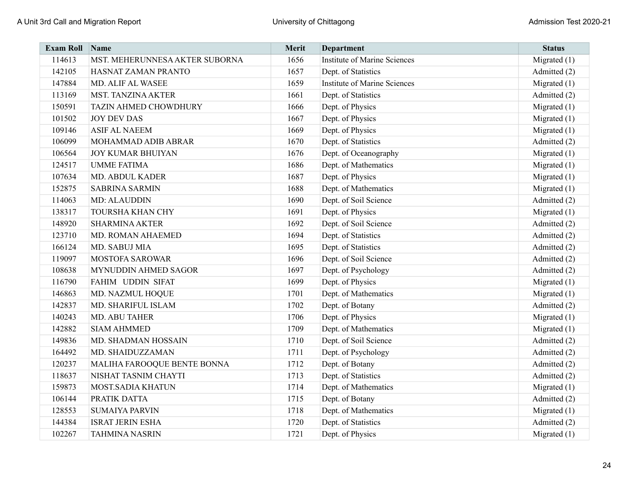| <b>Exam Roll</b> | Name                           | Merit | <b>Department</b>                   | <b>Status</b>  |
|------------------|--------------------------------|-------|-------------------------------------|----------------|
| 114613           | MST. MEHERUNNESA AKTER SUBORNA | 1656  | <b>Institute of Marine Sciences</b> | Migrated $(1)$ |
| 142105           | HASNAT ZAMAN PRANTO            | 1657  | Dept. of Statistics                 | Admitted (2)   |
| 147884           | MD. ALIF AL WASEE              | 1659  | <b>Institute of Marine Sciences</b> | Migrated $(1)$ |
| 113169           | <b>MST. TANZINA AKTER</b>      | 1661  | Dept. of Statistics                 | Admitted (2)   |
| 150591           | <b>TAZIN AHMED CHOWDHURY</b>   | 1666  | Dept. of Physics                    | Migrated $(1)$ |
| 101502           | <b>JOY DEV DAS</b>             | 1667  | Dept. of Physics                    | Migrated (1)   |
| 109146           | <b>ASIF AL NAEEM</b>           | 1669  | Dept. of Physics                    | Migrated $(1)$ |
| 106099           | MOHAMMAD ADIB ABRAR            | 1670  | Dept. of Statistics                 | Admitted (2)   |
| 106564           | <b>JOY KUMAR BHUIYAN</b>       | 1676  | Dept. of Oceanography               | Migrated $(1)$ |
| 124517           | <b>UMME FATIMA</b>             | 1686  | Dept. of Mathematics                | Migrated $(1)$ |
| 107634           | <b>MD. ABDUL KADER</b>         | 1687  | Dept. of Physics                    | Migrated $(1)$ |
| 152875           | <b>SABRINA SARMIN</b>          | 1688  | Dept. of Mathematics                | Migrated $(1)$ |
| 114063           | <b>MD: ALAUDDIN</b>            | 1690  | Dept. of Soil Science               | Admitted (2)   |
| 138317           | <b>TOURSHA KHAN CHY</b>        | 1691  | Dept. of Physics                    | Migrated $(1)$ |
| 148920           | <b>SHARMINA AKTER</b>          | 1692  | Dept. of Soil Science               | Admitted (2)   |
| 123710           | MD. ROMAN AHAEMED              | 1694  | Dept. of Statistics                 | Admitted (2)   |
| 166124           | MD. SABUJ MIA                  | 1695  | Dept. of Statistics                 | Admitted (2)   |
| 119097           | <b>MOSTOFA SAROWAR</b>         | 1696  | Dept. of Soil Science               | Admitted (2)   |
| 108638           | MYNUDDIN AHMED SAGOR           | 1697  | Dept. of Psychology                 | Admitted (2)   |
| 116790           | FAHIM UDDIN SIFAT              | 1699  | Dept. of Physics                    | Migrated $(1)$ |
| 146863           | MD. NAZMUL HOQUE               | 1701  | Dept. of Mathematics                | Migrated $(1)$ |
| 142837           | MD. SHARIFUL ISLAM             | 1702  | Dept. of Botany                     | Admitted (2)   |
| 140243           | MD. ABU TAHER                  | 1706  | Dept. of Physics                    | Migrated $(1)$ |
| 142882           | <b>SIAM AHMMED</b>             | 1709  | Dept. of Mathematics                | Migrated $(1)$ |
| 149836           | MD. SHADMAN HOSSAIN            | 1710  | Dept. of Soil Science               | Admitted (2)   |
| 164492           | MD. SHAIDUZZAMAN               | 1711  | Dept. of Psychology                 | Admitted (2)   |
| 120237           | MALIHA FAROOQUE BENTE BONNA    | 1712  | Dept. of Botany                     | Admitted (2)   |
| 118637           | NISHAT TASNIM CHAYTI           | 1713  | Dept. of Statistics                 | Admitted (2)   |
| 159873           | MOST.SADIA KHATUN              | 1714  | Dept. of Mathematics                | Migrated $(1)$ |
| 106144           | PRATIK DATTA                   | 1715  | Dept. of Botany                     | Admitted (2)   |
| 128553           | <b>SUMAIYA PARVIN</b>          | 1718  | Dept. of Mathematics                | Migrated $(1)$ |
| 144384           | <b>ISRAT JERIN ESHA</b>        | 1720  | Dept. of Statistics                 | Admitted (2)   |
| 102267           | <b>TAHMINA NASRIN</b>          | 1721  | Dept. of Physics                    | Migrated $(1)$ |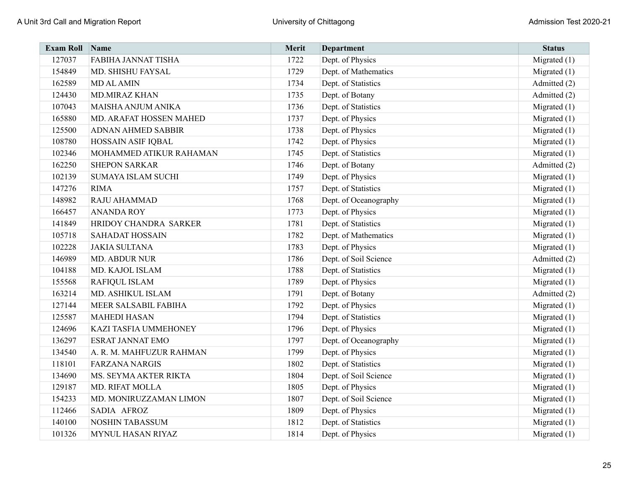| <b>Exam Roll</b> | Name                      | Merit | Department            | <b>Status</b>  |
|------------------|---------------------------|-------|-----------------------|----------------|
| 127037           | FABIHA JANNAT TISHA       | 1722  | Dept. of Physics      | Migrated $(1)$ |
| 154849           | MD. SHISHU FAYSAL         | 1729  | Dept. of Mathematics  | Migrated (1)   |
| 162589           | <b>MD AL AMIN</b>         | 1734  | Dept. of Statistics   | Admitted (2)   |
| 124430           | <b>MD.MIRAZ KHAN</b>      | 1735  | Dept. of Botany       | Admitted (2)   |
| 107043           | MAISHA ANJUM ANIKA        | 1736  | Dept. of Statistics   | Migrated (1)   |
| 165880           | MD. ARAFAT HOSSEN MAHED   | 1737  | Dept. of Physics      | Migrated $(1)$ |
| 125500           | <b>ADNAN AHMED SABBIR</b> | 1738  | Dept. of Physics      | Migrated $(1)$ |
| 108780           | HOSSAIN ASIF IQBAL        | 1742  | Dept. of Physics      | Migrated $(1)$ |
| 102346           | MOHAMMED ATIKUR RAHAMAN   | 1745  | Dept. of Statistics   | Migrated (1)   |
| 162250           | <b>SHEPON SARKAR</b>      | 1746  | Dept. of Botany       | Admitted (2)   |
| 102139           | <b>SUMAYA ISLAM SUCHI</b> | 1749  | Dept. of Physics      | Migrated $(1)$ |
| 147276           | <b>RIMA</b>               | 1757  | Dept. of Statistics   | Migrated (1)   |
| 148982           | RAJU AHAMMAD              | 1768  | Dept. of Oceanography | Migrated $(1)$ |
| 166457           | <b>ANANDA ROY</b>         | 1773  | Dept. of Physics      | Migrated $(1)$ |
| 141849           | HRIDOY CHANDRA SARKER     | 1781  | Dept. of Statistics   | Migrated (1)   |
| 105718           | <b>SAHADAT HOSSAIN</b>    | 1782  | Dept. of Mathematics  | Migrated $(1)$ |
| 102228           | <b>JAKIA SULTANA</b>      | 1783  | Dept. of Physics      | Migrated $(1)$ |
| 146989           | MD. ABDUR NUR             | 1786  | Dept. of Soil Science | Admitted (2)   |
| 104188           | MD. KAJOL ISLAM           | 1788  | Dept. of Statistics   | Migrated (1)   |
| 155568           | RAFIQUL ISLAM             | 1789  | Dept. of Physics      | Migrated (1)   |
| 163214           | MD. ASHIKUL ISLAM         | 1791  | Dept. of Botany       | Admitted (2)   |
| 127144           | MEER SALSABIL FABIHA      | 1792  | Dept. of Physics      | Migrated (1)   |
| 125587           | <b>MAHEDI HASAN</b>       | 1794  | Dept. of Statistics   | Migrated $(1)$ |
| 124696           | KAZI TASFIA UMMEHONEY     | 1796  | Dept. of Physics      | Migrated (1)   |
| 136297           | <b>ESRAT JANNAT EMO</b>   | 1797  | Dept. of Oceanography | Migrated $(1)$ |
| 134540           | A. R. M. MAHFUZUR RAHMAN  | 1799  | Dept. of Physics      | Migrated $(1)$ |
| 118101           | <b>FARZANA NARGIS</b>     | 1802  | Dept. of Statistics   | Migrated $(1)$ |
| 134690           | MS. SEYMA AKTER RIKTA     | 1804  | Dept. of Soil Science | Migrated $(1)$ |
| 129187           | <b>MD. RIFAT MOLLA</b>    | 1805  | Dept. of Physics      | Migrated $(1)$ |
| 154233           | MD. MONIRUZZAMAN LIMON    | 1807  | Dept. of Soil Science | Migrated $(1)$ |
| 112466           | SADIA AFROZ               | 1809  | Dept. of Physics      | Migrated $(1)$ |
| 140100           | NOSHIN TABASSUM           | 1812  | Dept. of Statistics   | Migrated (1)   |
| 101326           | MYNUL HASAN RIYAZ         | 1814  | Dept. of Physics      | Migrated $(1)$ |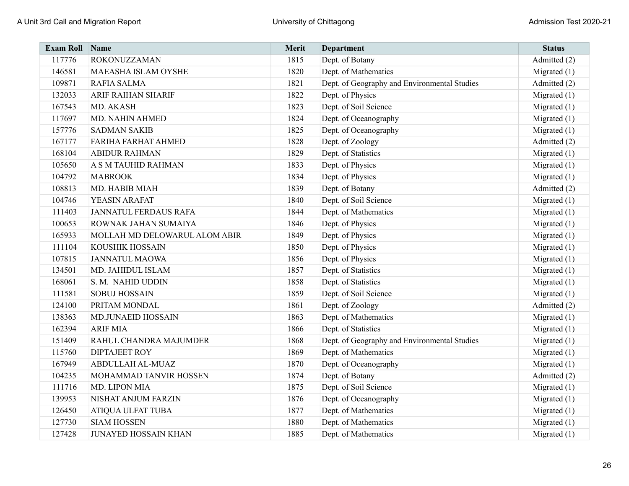| <b>Exam Roll</b> | Name                          | Merit | <b>Department</b>                            | <b>Status</b>  |
|------------------|-------------------------------|-------|----------------------------------------------|----------------|
| 117776           | <b>ROKONUZZAMAN</b>           | 1815  | Dept. of Botany                              | Admitted (2)   |
| 146581           | MAEASHA ISLAM OYSHE           | 1820  | Dept. of Mathematics                         | Migrated $(1)$ |
| 109871           | <b>RAFIA SALMA</b>            | 1821  | Dept. of Geography and Environmental Studies | Admitted (2)   |
| 132033           | <b>ARIF RAIHAN SHARIF</b>     | 1822  | Dept. of Physics                             | Migrated $(1)$ |
| 167543           | MD. AKASH                     | 1823  | Dept. of Soil Science                        | Migrated $(1)$ |
| 117697           | MD. NAHIN AHMED               | 1824  | Dept. of Oceanography                        | Migrated $(1)$ |
| 157776           | <b>SADMAN SAKIB</b>           | 1825  | Dept. of Oceanography                        | Migrated $(1)$ |
| 167177           | <b>FARIHA FARHAT AHMED</b>    | 1828  | Dept. of Zoology                             | Admitted (2)   |
| 168104           | <b>ABIDUR RAHMAN</b>          | 1829  | Dept. of Statistics                          | Migrated $(1)$ |
| 105650           | A S M TAUHID RAHMAN           | 1833  | Dept. of Physics                             | Migrated $(1)$ |
| 104792           | <b>MABROOK</b>                | 1834  | Dept. of Physics                             | Migrated $(1)$ |
| 108813           | MD. HABIB MIAH                | 1839  | Dept. of Botany                              | Admitted (2)   |
| 104746           | YEASIN ARAFAT                 | 1840  | Dept. of Soil Science                        | Migrated $(1)$ |
| 111403           | <b>JANNATUL FERDAUS RAFA</b>  | 1844  | Dept. of Mathematics                         | Migrated $(1)$ |
| 100653           | ROWNAK JAHAN SUMAIYA          | 1846  | Dept. of Physics                             | Migrated $(1)$ |
| 165933           | MOLLAH MD DELOWARUL ALOM ABIR | 1849  | Dept. of Physics                             | Migrated $(1)$ |
| 111104           | <b>KOUSHIK HOSSAIN</b>        | 1850  | Dept. of Physics                             | Migrated $(1)$ |
| 107815           | <b>JANNATUL MAOWA</b>         | 1856  | Dept. of Physics                             | Migrated $(1)$ |
| 134501           | MD. JAHIDUL ISLAM             | 1857  | Dept. of Statistics                          | Migrated $(1)$ |
| 168061           | S. M. NAHID UDDIN             | 1858  | Dept. of Statistics                          | Migrated $(1)$ |
| 111581           | <b>SOBUJ HOSSAIN</b>          | 1859  | Dept. of Soil Science                        | Migrated $(1)$ |
| 124100           | PRITAM MONDAL                 | 1861  | Dept. of Zoology                             | Admitted (2)   |
| 138363           | <b>MD.JUNAEID HOSSAIN</b>     | 1863  | Dept. of Mathematics                         | Migrated $(1)$ |
| 162394           | <b>ARIF MIA</b>               | 1866  | Dept. of Statistics                          | Migrated $(1)$ |
| 151409           | RAHUL CHANDRA MAJUMDER        | 1868  | Dept. of Geography and Environmental Studies | Migrated $(1)$ |
| 115760           | <b>DIPTAJEET ROY</b>          | 1869  | Dept. of Mathematics                         | Migrated $(1)$ |
| 167949           | ABDULLAH AL-MUAZ              | 1870  | Dept. of Oceanography                        | Migrated $(1)$ |
| 104235           | MOHAMMAD TANVIR HOSSEN        | 1874  | Dept. of Botany                              | Admitted (2)   |
| 111716           | MD. LIPON MIA                 | 1875  | Dept. of Soil Science                        | Migrated $(1)$ |
| 139953           | NISHAT ANJUM FARZIN           | 1876  | Dept. of Oceanography                        | Migrated $(1)$ |
| 126450           | ATIQUA ULFAT TUBA             | 1877  | Dept. of Mathematics                         | Migrated $(1)$ |
| 127730           | <b>SIAM HOSSEN</b>            | 1880  | Dept. of Mathematics                         | Migrated $(1)$ |
| 127428           | <b>JUNAYED HOSSAIN KHAN</b>   | 1885  | Dept. of Mathematics                         | Migrated (1)   |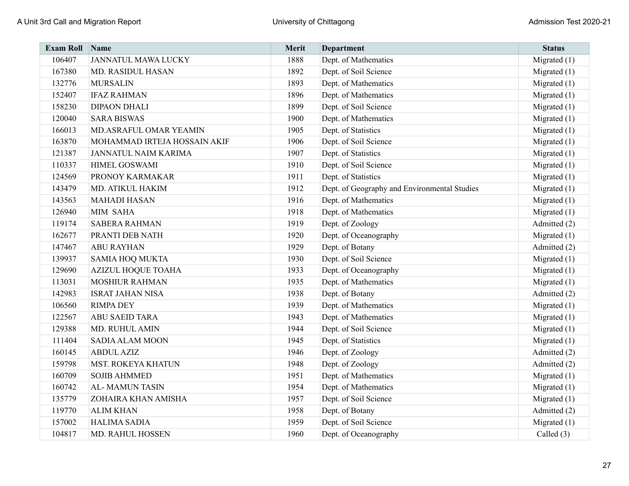| <b>Exam Roll</b> | Name                         | Merit | <b>Department</b>                            | <b>Status</b>  |
|------------------|------------------------------|-------|----------------------------------------------|----------------|
| 106407           | <b>JANNATUL MAWA LUCKY</b>   | 1888  | Dept. of Mathematics                         | Migrated $(1)$ |
| 167380           | MD. RASIDUL HASAN            | 1892  | Dept. of Soil Science                        | Migrated $(1)$ |
| 132776           | <b>MURSALIN</b>              | 1893  | Dept. of Mathematics                         | Migrated $(1)$ |
| 152407           | <b>IFAZ RAHMAN</b>           | 1896  | Dept. of Mathematics                         | Migrated $(1)$ |
| 158230           | <b>DIPAON DHALI</b>          | 1899  | Dept. of Soil Science                        | Migrated $(1)$ |
| 120040           | <b>SARA BISWAS</b>           | 1900  | Dept. of Mathematics                         | Migrated $(1)$ |
| 166013           | MD.ASRAFUL OMAR YEAMIN       | 1905  | Dept. of Statistics                          | Migrated $(1)$ |
| 163870           | MOHAMMAD IRTEJA HOSSAIN AKIF | 1906  | Dept. of Soil Science                        | Migrated $(1)$ |
| 121387           | <b>JANNATUL NAIM KARIMA</b>  | 1907  | Dept. of Statistics                          | Migrated $(1)$ |
| 110337           | HIMEL GOSWAMI                | 1910  | Dept. of Soil Science                        | Migrated $(1)$ |
| 124569           | PRONOY KARMAKAR              | 1911  | Dept. of Statistics                          | Migrated (1)   |
| 143479           | MD. ATIKUL HAKIM             | 1912  | Dept. of Geography and Environmental Studies | Migrated $(1)$ |
| 143563           | <b>MAHADI HASAN</b>          | 1916  | Dept. of Mathematics                         | Migrated $(1)$ |
| 126940           | MIM SAHA                     | 1918  | Dept. of Mathematics                         | Migrated $(1)$ |
| 119174           | <b>SABERA RAHMAN</b>         | 1919  | Dept. of Zoology                             | Admitted (2)   |
| 162677           | PRANTI DEB NATH              | 1920  | Dept. of Oceanography                        | Migrated $(1)$ |
| 147467           | <b>ABU RAYHAN</b>            | 1929  | Dept. of Botany                              | Admitted (2)   |
| 139937           | <b>SAMIA HOQ MUKTA</b>       | 1930  | Dept. of Soil Science                        | Migrated $(1)$ |
| 129690           | <b>AZIZUL HOQUE TOAHA</b>    | 1933  | Dept. of Oceanography                        | Migrated $(1)$ |
| 113031           | <b>MOSHIUR RAHMAN</b>        | 1935  | Dept. of Mathematics                         | Migrated $(1)$ |
| 142983           | <b>ISRAT JAHAN NISA</b>      | 1938  | Dept. of Botany                              | Admitted (2)   |
| 106560           | <b>RIMPA DEY</b>             | 1939  | Dept. of Mathematics                         | Migrated $(1)$ |
| 122567           | <b>ABU SAEID TARA</b>        | 1943  | Dept. of Mathematics                         | Migrated $(1)$ |
| 129388           | MD. RUHUL AMIN               | 1944  | Dept. of Soil Science                        | Migrated $(1)$ |
| 111404           | <b>SADIA ALAM MOON</b>       | 1945  | Dept. of Statistics                          | Migrated $(1)$ |
| 160145           | <b>ABDUL AZIZ</b>            | 1946  | Dept. of Zoology                             | Admitted (2)   |
| 159798           | <b>MST. ROKEYA KHATUN</b>    | 1948  | Dept. of Zoology                             | Admitted (2)   |
| 160709           | <b>SOJIB AHMMED</b>          | 1951  | Dept. of Mathematics                         | Migrated $(1)$ |
| 160742           | <b>AL-MAMUN TASIN</b>        | 1954  | Dept. of Mathematics                         | Migrated $(1)$ |
| 135779           | ZOHAIRA KHAN AMISHA          | 1957  | Dept. of Soil Science                        | Migrated $(1)$ |
| 119770           | <b>ALIM KHAN</b>             | 1958  | Dept. of Botany                              | Admitted (2)   |
| 157002           | <b>HALIMA SADIA</b>          | 1959  | Dept. of Soil Science                        | Migrated $(1)$ |
| 104817           | MD. RAHUL HOSSEN             | 1960  | Dept. of Oceanography                        | Called (3)     |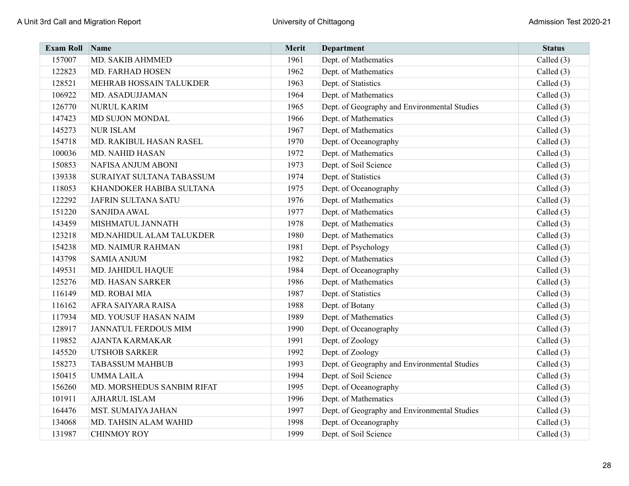| <b>Exam Roll</b> | Name                       | Merit | <b>Department</b>                            | <b>Status</b> |
|------------------|----------------------------|-------|----------------------------------------------|---------------|
| 157007           | MD. SAKIB AHMMED           | 1961  | Dept. of Mathematics                         | Called (3)    |
| 122823           | MD. FARHAD HOSEN           | 1962  | Dept. of Mathematics                         | Called $(3)$  |
| 128521           | MEHRAB HOSSAIN TALUKDER    | 1963  | Dept. of Statistics                          | Called $(3)$  |
| 106922           | MD. ASADUJJAMAN            | 1964  | Dept. of Mathematics                         | Called (3)    |
| 126770           | <b>NURUL KARIM</b>         | 1965  | Dept. of Geography and Environmental Studies | Called (3)    |
| 147423           | MD SUJON MONDAL            | 1966  | Dept. of Mathematics                         | Called (3)    |
| 145273           | <b>NUR ISLAM</b>           | 1967  | Dept. of Mathematics                         | Called (3)    |
| 154718           | MD. RAKIBUL HASAN RASEL    | 1970  | Dept. of Oceanography                        | Called $(3)$  |
| 100036           | <b>MD. NAHID HASAN</b>     | 1972  | Dept. of Mathematics                         | Called $(3)$  |
| 150853           | NAFISA ANJUM ABONI         | 1973  | Dept. of Soil Science                        | Called $(3)$  |
| 139338           | SURAIYAT SULTANA TABASSUM  | 1974  | Dept. of Statistics                          | Called $(3)$  |
| 118053           | KHANDOKER HABIBA SULTANA   | 1975  | Dept. of Oceanography                        | Called (3)    |
| 122292           | <b>JAFRIN SULTANA SATU</b> | 1976  | Dept. of Mathematics                         | Called (3)    |
| 151220           | <b>SANJIDA AWAL</b>        | 1977  | Dept. of Mathematics                         | Called (3)    |
| 143459           | MISHMATUL JANNATH          | 1978  | Dept. of Mathematics                         | Called $(3)$  |
| 123218           | MD.NAHIDUL ALAM TALUKDER   | 1980  | Dept. of Mathematics                         | Called (3)    |
| 154238           | MD. NAIMUR RAHMAN          | 1981  | Dept. of Psychology                          | Called (3)    |
| 143798           | <b>SAMIA ANJUM</b>         | 1982  | Dept. of Mathematics                         | Called $(3)$  |
| 149531           | MD. JAHIDUL HAQUE          | 1984  | Dept. of Oceanography                        | Called $(3)$  |
| 125276           | MD. HASAN SARKER           | 1986  | Dept. of Mathematics                         | Called $(3)$  |
| 116149           | MD. ROBAI MIA              | 1987  | Dept. of Statistics                          | Called $(3)$  |
| 116162           | AFRA SAIYARA RAISA         | 1988  | Dept. of Botany                              | Called (3)    |
| 117934           | MD. YOUSUF HASAN NAIM      | 1989  | Dept. of Mathematics                         | Called (3)    |
| 128917           | JANNATUL FERDOUS MIM       | 1990  | Dept. of Oceanography                        | Called (3)    |
| 119852           | <b>AJANTA KARMAKAR</b>     | 1991  | Dept. of Zoology                             | Called (3)    |
| 145520           | <b>UTSHOB SARKER</b>       | 1992  | Dept. of Zoology                             | Called (3)    |
| 158273           | <b>TABASSUM MAHBUB</b>     | 1993  | Dept. of Geography and Environmental Studies | Called $(3)$  |
| 150415           | <b>UMMALAILA</b>           | 1994  | Dept. of Soil Science                        | Called $(3)$  |
| 156260           | MD. MORSHEDUS SANBIM RIFAT | 1995  | Dept. of Oceanography                        | Called $(3)$  |
| 101911           | <b>AJHARUL ISLAM</b>       | 1996  | Dept. of Mathematics                         | Called $(3)$  |
| 164476           | MST. SUMAIYA JAHAN         | 1997  | Dept. of Geography and Environmental Studies | Called $(3)$  |
| 134068           | MD. TAHSIN ALAM WAHID      | 1998  | Dept. of Oceanography                        | Called (3)    |
| 131987           | <b>CHINMOY ROY</b>         | 1999  | Dept. of Soil Science                        | Called (3)    |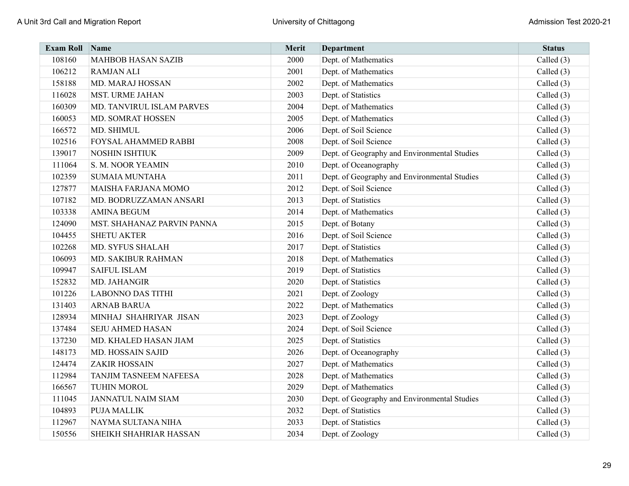| <b>Exam Roll Name</b> |                            | Merit | <b>Department</b>                            | <b>Status</b> |
|-----------------------|----------------------------|-------|----------------------------------------------|---------------|
| 108160                | <b>MAHBOB HASAN SAZIB</b>  | 2000  | Dept. of Mathematics                         | Called (3)    |
| 106212                | <b>RAMJAN ALI</b>          | 2001  | Dept. of Mathematics                         | Called $(3)$  |
| 158188                | MD. MARAJ HOSSAN           | 2002  | Dept. of Mathematics                         | Called $(3)$  |
| 116028                | MST. URME JAHAN            | 2003  | Dept. of Statistics                          | Called $(3)$  |
| 160309                | MD. TANVIRUL ISLAM PARVES  | 2004  | Dept. of Mathematics                         | Called $(3)$  |
| 160053                | MD. SOMRAT HOSSEN          | 2005  | Dept. of Mathematics                         | Called (3)    |
| 166572                | MD. SHIMUL                 | 2006  | Dept. of Soil Science                        | Called $(3)$  |
| 102516                | FOYSAL AHAMMED RABBI       | 2008  | Dept. of Soil Science                        | Called $(3)$  |
| 139017                | NOSHIN ISHTIUK             | 2009  | Dept. of Geography and Environmental Studies | Called (3)    |
| 111064                | S. M. NOOR YEAMIN          | 2010  | Dept. of Oceanography                        | Called (3)    |
| 102359                | <b>SUMAIA MUNTAHA</b>      | 2011  | Dept. of Geography and Environmental Studies | Called (3)    |
| 127877                | MAISHA FARJANA MOMO        | 2012  | Dept. of Soil Science                        | Called $(3)$  |
| 107182                | MD. BODRUZZAMAN ANSARI     | 2013  | Dept. of Statistics                          | Called $(3)$  |
| 103338                | <b>AMINA BEGUM</b>         | 2014  | Dept. of Mathematics                         | Called $(3)$  |
| 124090                | MST. SHAHANAZ PARVIN PANNA | 2015  | Dept. of Botany                              | Called (3)    |
| 104455                | <b>SHETU AKTER</b>         | 2016  | Dept. of Soil Science                        | Called (3)    |
| 102268                | MD. SYFUS SHALAH           | 2017  | Dept. of Statistics                          | Called $(3)$  |
| 106093                | MD. SAKIBUR RAHMAN         | 2018  | Dept. of Mathematics                         | Called $(3)$  |
| 109947                | <b>SAIFUL ISLAM</b>        | 2019  | Dept. of Statistics                          | Called (3)    |
| 152832                | MD. JAHANGIR               | 2020  | Dept. of Statistics                          | Called (3)    |
| 101226                | <b>LABONNO DAS TITHI</b>   | 2021  | Dept. of Zoology                             | Called (3)    |
| 131403                | <b>ARNAB BARUA</b>         | 2022  | Dept. of Mathematics                         | Called (3)    |
| 128934                | MINHAJ SHAHRIYAR JISAN     | 2023  | Dept. of Zoology                             | Called (3)    |
| 137484                | SEJU AHMED HASAN           | 2024  | Dept. of Soil Science                        | Called (3)    |
| 137230                | MD. KHALED HASAN JIAM      | 2025  | Dept. of Statistics                          | Called (3)    |
| 148173                | MD. HOSSAIN SAJID          | 2026  | Dept. of Oceanography                        | Called $(3)$  |
| 124474                | <b>ZAKIR HOSSAIN</b>       | 2027  | Dept. of Mathematics                         | Called $(3)$  |
| 112984                | TANJIM TASNEEM NAFEESA     | 2028  | Dept. of Mathematics                         | Called $(3)$  |
| 166567                | <b>TUHIN MOROL</b>         | 2029  | Dept. of Mathematics                         | Called $(3)$  |
| 111045                | <b>JANNATUL NAIM SIAM</b>  | 2030  | Dept. of Geography and Environmental Studies | Called $(3)$  |
| 104893                | <b>PUJA MALLIK</b>         | 2032  | Dept. of Statistics                          | Called $(3)$  |
| 112967                | NAYMA SULTANA NIHA         | 2033  | Dept. of Statistics                          | Called (3)    |
| 150556                | SHEIKH SHAHRIAR HASSAN     | 2034  | Dept. of Zoology                             | Called (3)    |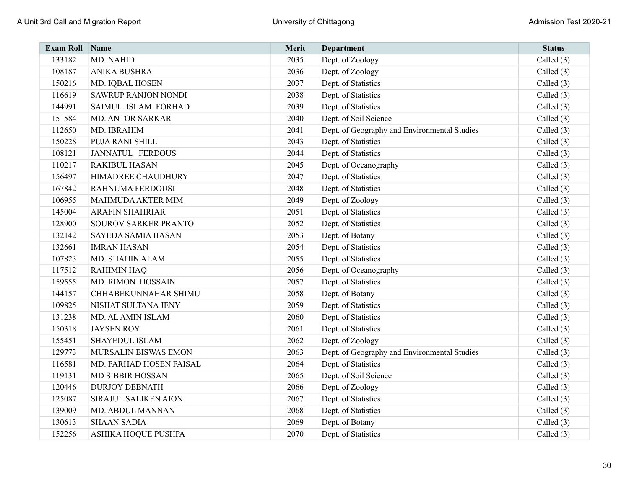| <b>Exam Roll Name</b> |                            | Merit | <b>Department</b>                            | <b>Status</b> |
|-----------------------|----------------------------|-------|----------------------------------------------|---------------|
| 133182                | MD. NAHID                  | 2035  | Dept. of Zoology                             | Called (3)    |
| 108187                | ANIKA BUSHRA               | 2036  | Dept. of Zoology                             | Called $(3)$  |
| 150216                | MD. IQBAL HOSEN            | 2037  | Dept. of Statistics                          | Called (3)    |
| 116619                | <b>SAWRUP RANJON NONDI</b> | 2038  | Dept. of Statistics                          | Called (3)    |
| 144991                | SAIMUL ISLAM FORHAD        | 2039  | Dept. of Statistics                          | Called $(3)$  |
| 151584                | <b>MD. ANTOR SARKAR</b>    | 2040  | Dept. of Soil Science                        | Called $(3)$  |
| 112650                | MD. IBRAHIM                | 2041  | Dept. of Geography and Environmental Studies | Called $(3)$  |
| 150228                | PUJA RANI SHILL            | 2043  | Dept. of Statistics                          | Called $(3)$  |
| 108121                | <b>JANNATUL FERDOUS</b>    | 2044  | Dept. of Statistics                          | Called $(3)$  |
| 110217                | <b>RAKIBUL HASAN</b>       | 2045  | Dept. of Oceanography                        | Called (3)    |
| 156497                | HIMADREE CHAUDHURY         | 2047  | Dept. of Statistics                          | Called $(3)$  |
| 167842                | RAHNUMA FERDOUSI           | 2048  | Dept. of Statistics                          | Called $(3)$  |
| 106955                | MAHMUDA AKTER MIM          | 2049  | Dept. of Zoology                             | Called $(3)$  |
| 145004                | <b>ARAFIN SHAHRIAR</b>     | 2051  | Dept. of Statistics                          | Called $(3)$  |
| 128900                | SOUROV SARKER PRANTO       | 2052  | Dept. of Statistics                          | Called $(3)$  |
| 132142                | <b>SAYEDA SAMIA HASAN</b>  | 2053  | Dept. of Botany                              | Called (3)    |
| 132661                | <b>IMRAN HASAN</b>         | 2054  | Dept. of Statistics                          | Called $(3)$  |
| 107823                | MD. SHAHIN ALAM            | 2055  | Dept. of Statistics                          | Called $(3)$  |
| 117512                | <b>RAHIMIN HAQ</b>         | 2056  | Dept. of Oceanography                        | Called (3)    |
| 159555                | MD. RIMON HOSSAIN          | 2057  | Dept. of Statistics                          | Called (3)    |
| 144157                | CHHABEKUNNAHAR SHIMU       | 2058  | Dept. of Botany                              | Called (3)    |
| 109825                | NISHAT SULTANA JENY        | 2059  | Dept. of Statistics                          | Called $(3)$  |
| 131238                | MD. AL AMIN ISLAM          | 2060  | Dept. of Statistics                          | Called $(3)$  |
| 150318                | <b>JAYSEN ROY</b>          | 2061  | Dept. of Statistics                          | Called (3)    |
| 155451                | <b>SHAYEDUL ISLAM</b>      | 2062  | Dept. of Zoology                             | Called $(3)$  |
| 129773                | MURSALIN BISWAS EMON       | 2063  | Dept. of Geography and Environmental Studies | Called $(3)$  |
| 116581                | MD. FARHAD HOSEN FAISAL    | 2064  | Dept. of Statistics                          | Called (3)    |
| 119131                | <b>MD SIBBIR HOSSAN</b>    | 2065  | Dept. of Soil Science                        | Called $(3)$  |
| 120446                | <b>DURJOY DEBNATH</b>      | 2066  | Dept. of Zoology                             | Called $(3)$  |
| 125087                | SIRAJUL SALIKEN AION       | 2067  | Dept. of Statistics                          | Called $(3)$  |
| 139009                | MD. ABDUL MANNAN           | 2068  | Dept. of Statistics                          | Called (3)    |
| 130613                | <b>SHAAN SADIA</b>         | 2069  | Dept. of Botany                              | Called $(3)$  |
| 152256                | ASHIKA HOQUE PUSHPA        | 2070  | Dept. of Statistics                          | Called (3)    |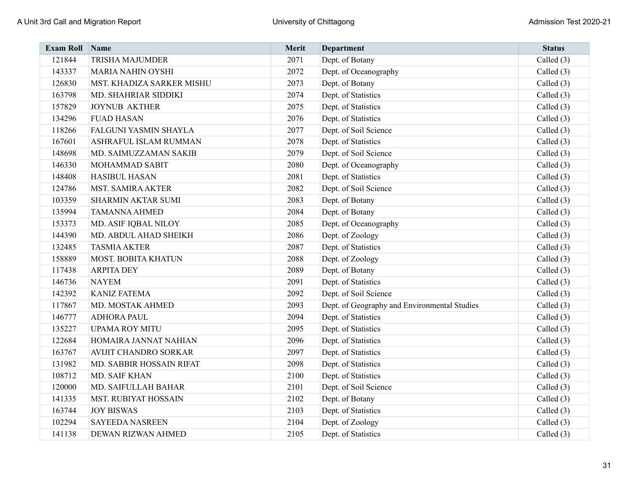| <b>Exam Roll</b> | $\sum_{ }^{ }$ Name        | Merit | <b>Department</b>                            | <b>Status</b> |
|------------------|----------------------------|-------|----------------------------------------------|---------------|
| 121844           | <b>TRISHA MAJUMDER</b>     | 2071  | Dept. of Botany                              | Called (3)    |
| 143337           | <b>MARIA NAHIN OYSHI</b>   | 2072  | Dept. of Oceanography                        | Called $(3)$  |
| 126830           | MST. KHADIZA SARKER MISHU  | 2073  | Dept. of Botany                              | Called (3)    |
| 163798           | MD. SHAHRIAR SIDDIKI       | 2074  | Dept. of Statistics                          | Called $(3)$  |
| 157829           | <b>JOYNUB AKTHER</b>       | 2075  | Dept. of Statistics                          | Called (3)    |
| 134296           | <b>FUAD HASAN</b>          | 2076  | Dept. of Statistics                          | Called (3)    |
| 118266           | FALGUNI YASMIN SHAYLA      | 2077  | Dept. of Soil Science                        | Called $(3)$  |
| 167601           | ASHRAFUL ISLAM RUMMAN      | 2078  | Dept. of Statistics                          | Called $(3)$  |
| 148698           | MD. SAIMUZZAMAN SAKIB      | 2079  | Dept. of Soil Science                        | Called (3)    |
| 146330           | <b>MOHAMMAD SABIT</b>      | 2080  | Dept. of Oceanography                        | Called (3)    |
| 148408           | <b>HASIBUL HASAN</b>       | 2081  | Dept. of Statistics                          | Called (3)    |
| 124786           | <b>MST. SAMIRA AKTER</b>   | 2082  | Dept. of Soil Science                        | Called $(3)$  |
| 103359           | SHARMIN AKTAR SUMI         | 2083  | Dept. of Botany                              | Called $(3)$  |
| 135994           | <b>TAMANNA AHMED</b>       | 2084  | Dept. of Botany                              | Called (3)    |
| 153373           | MD. ASIF IQBAL NILOY       | 2085  | Dept. of Oceanography                        | Called (3)    |
| 144390           | MD. ABDUL AHAD SHEIKH      | 2086  | Dept. of Zoology                             | Called (3)    |
| 132485           | <b>TASMIA AKTER</b>        | 2087  | Dept. of Statistics                          | Called $(3)$  |
| 158889           | <b>MOST. BOBITA KHATUN</b> | 2088  | Dept. of Zoology                             | Called $(3)$  |
| 117438           | <b>ARPITA DEY</b>          | 2089  | Dept. of Botany                              | Called (3)    |
| 146736           | <b>NAYEM</b>               | 2091  | Dept. of Statistics                          | Called $(3)$  |
| 142392           | <b>KANIZ FATEMA</b>        | 2092  | Dept. of Soil Science                        | Called $(3)$  |
| 117867           | MD. MOSTAK AHMED           | 2093  | Dept. of Geography and Environmental Studies | Called $(3)$  |
| 146777           | <b>ADHORA PAUL</b>         | 2094  | Dept. of Statistics                          | Called $(3)$  |
| 135227           | <b>UPAMA ROY MITU</b>      | 2095  | Dept. of Statistics                          | Called (3)    |
| 122684           | HOMAIRA JANNAT NAHIAN      | 2096  | Dept. of Statistics                          | Called $(3)$  |
| 163767           | AVIJIT CHANDRO SORKAR      | 2097  | Dept. of Statistics                          | Called $(3)$  |
| 131982           | MD. SABBIR HOSSAIN RIFAT   | 2098  | Dept. of Statistics                          | Called $(3)$  |
| 108712           | <b>MD. SAIF KHAN</b>       | 2100  | Dept. of Statistics                          | Called $(3)$  |
| 120000           | MD. SAIFULLAH BAHAR        | 2101  | Dept. of Soil Science                        | Called (3)    |
| 141335           | MST. RUBIYAT HOSSAIN       | 2102  | Dept. of Botany                              | Called $(3)$  |
| 163744           | <b>JOY BISWAS</b>          | 2103  | Dept. of Statistics                          | Called $(3)$  |
| 102294           | <b>SAYEEDA NASREEN</b>     | 2104  | Dept. of Zoology                             | Called (3)    |
| 141138           | DEWAN RIZWAN AHMED         | 2105  | Dept. of Statistics                          | Called (3)    |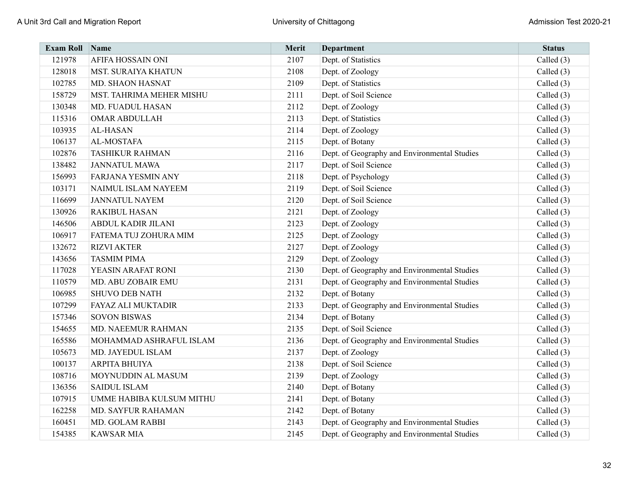| <b>Exam Roll</b> | Name                       | Merit | <b>Department</b>                            | <b>Status</b> |
|------------------|----------------------------|-------|----------------------------------------------|---------------|
| 121978           | AFIFA HOSSAIN ONI          | 2107  | Dept. of Statistics                          | Called $(3)$  |
| 128018           | <b>MST. SURAIYA KHATUN</b> | 2108  | Dept. of Zoology                             | Called $(3)$  |
| 102785           | MD. SHAON HASNAT           | 2109  | Dept. of Statistics                          | Called $(3)$  |
| 158729           | MST. TAHRIMA MEHER MISHU   | 2111  | Dept. of Soil Science                        | Called (3)    |
| 130348           | MD. FUADUL HASAN           | 2112  | Dept. of Zoology                             | Called $(3)$  |
| 115316           | <b>OMAR ABDULLAH</b>       | 2113  | Dept. of Statistics                          | Called $(3)$  |
| 103935           | <b>AL-HASAN</b>            | 2114  | Dept. of Zoology                             | Called $(3)$  |
| 106137           | AL-MOSTAFA                 | 2115  | Dept. of Botany                              | Called $(3)$  |
| 102876           | <b>TASHIKUR RAHMAN</b>     | 2116  | Dept. of Geography and Environmental Studies | Called (3)    |
| 138482           | <b>JANNATUL MAWA</b>       | 2117  | Dept. of Soil Science                        | Called $(3)$  |
| 156993           | <b>FARJANA YESMIN ANY</b>  | 2118  | Dept. of Psychology                          | Called $(3)$  |
| 103171           | NAIMUL ISLAM NAYEEM        | 2119  | Dept. of Soil Science                        | Called $(3)$  |
| 116699           | <b>JANNATUL NAYEM</b>      | 2120  | Dept. of Soil Science                        | Called $(3)$  |
| 130926           | <b>RAKIBUL HASAN</b>       | 2121  | Dept. of Zoology                             | Called (3)    |
| 146506           | ABDUL KADIR JILANI         | 2123  | Dept. of Zoology                             | Called $(3)$  |
| 106917           | FATEMA TUJ ZOHURA MIM      | 2125  | Dept. of Zoology                             | Called $(3)$  |
| 132672           | <b>RIZVI AKTER</b>         | 2127  | Dept. of Zoology                             | Called $(3)$  |
| 143656           | <b>TASMIM PIMA</b>         | 2129  | Dept. of Zoology                             | Called $(3)$  |
| 117028           | YEASIN ARAFAT RONI         | 2130  | Dept. of Geography and Environmental Studies | Called (3)    |
| 110579           | MD. ABU ZOBAIR EMU         | 2131  | Dept. of Geography and Environmental Studies | Called $(3)$  |
| 106985           | <b>SHUVO DEB NATH</b>      | 2132  | Dept. of Botany                              | Called $(3)$  |
| 107299           | <b>FAYAZ ALI MUKTADIR</b>  | 2133  | Dept. of Geography and Environmental Studies | Called $(3)$  |
| 157346           | <b>SOVON BISWAS</b>        | 2134  | Dept. of Botany                              | Called $(3)$  |
| 154655           | <b>MD. NAEEMUR RAHMAN</b>  | 2135  | Dept. of Soil Science                        | Called (3)    |
| 165586           | MOHAMMAD ASHRAFUL ISLAM    | 2136  | Dept. of Geography and Environmental Studies | Called $(3)$  |
| 105673           | MD. JAYEDUL ISLAM          | 2137  | Dept. of Zoology                             | Called $(3)$  |
| 100137           | <b>ARPITA BHUIYA</b>       | 2138  | Dept. of Soil Science                        | Called $(3)$  |
| 108716           | MOYNUDDIN AL MASUM         | 2139  | Dept. of Zoology                             | Called $(3)$  |
| 136356           | <b>SAIDUL ISLAM</b>        | 2140  | Dept. of Botany                              | Called $(3)$  |
| 107915           | UMME HABIBA KULSUM MITHU   | 2141  | Dept. of Botany                              | Called $(3)$  |
| 162258           | <b>MD. SAYFUR RAHAMAN</b>  | 2142  | Dept. of Botany                              | Called $(3)$  |
| 160451           | MD. GOLAM RABBI            | 2143  | Dept. of Geography and Environmental Studies | Called $(3)$  |
| 154385           | <b>KAWSAR MIA</b>          | 2145  | Dept. of Geography and Environmental Studies | Called (3)    |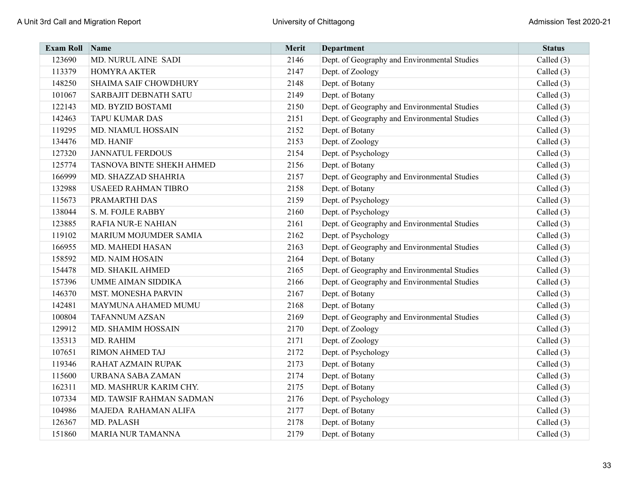| <b>Exam Roll</b> | <b>Name</b>                  | Merit | Department                                   | <b>Status</b> |
|------------------|------------------------------|-------|----------------------------------------------|---------------|
| 123690           | MD. NURUL AINE SADI          | 2146  | Dept. of Geography and Environmental Studies | Called $(3)$  |
| 113379           | <b>HOMYRA AKTER</b>          | 2147  | Dept. of Zoology                             | Called $(3)$  |
| 148250           | <b>SHAIMA SAIF CHOWDHURY</b> | 2148  | Dept. of Botany                              | Called $(3)$  |
| 101067           | SARBAJIT DEBNATH SATU        | 2149  | Dept. of Botany                              | Called $(3)$  |
| 122143           | MD. BYZID BOSTAMI            | 2150  | Dept. of Geography and Environmental Studies | Called $(3)$  |
| 142463           | <b>TAPU KUMAR DAS</b>        | 2151  | Dept. of Geography and Environmental Studies | Called $(3)$  |
| 119295           | MD. NIAMUL HOSSAIN           | 2152  | Dept. of Botany                              | Called $(3)$  |
| 134476           | MD. HANIF                    | 2153  | Dept. of Zoology                             | Called $(3)$  |
| 127320           | <b>JANNATUL FERDOUS</b>      | 2154  | Dept. of Psychology                          | Called $(3)$  |
| 125774           | TASNOVA BINTE SHEKH AHMED    | 2156  | Dept. of Botany                              | Called $(3)$  |
| 166999           | MD. SHAZZAD SHAHRIA          | 2157  | Dept. of Geography and Environmental Studies | Called $(3)$  |
| 132988           | <b>USAEED RAHMAN TIBRO</b>   | 2158  | Dept. of Botany                              | Called $(3)$  |
| 115673           | PRAMARTHI DAS                | 2159  | Dept. of Psychology                          | Called $(3)$  |
| 138044           | S. M. FOJLE RABBY            | 2160  | Dept. of Psychology                          | Called $(3)$  |
| 123885           | <b>RAFIA NUR-E NAHIAN</b>    | 2161  | Dept. of Geography and Environmental Studies | Called $(3)$  |
| 119102           | MARIUM MOJUMDER SAMIA        | 2162  | Dept. of Psychology                          | Called $(3)$  |
| 166955           | MD. MAHEDI HASAN             | 2163  | Dept. of Geography and Environmental Studies | Called (3)    |
| 158592           | MD. NAIM HOSAIN              | 2164  | Dept. of Botany                              | Called $(3)$  |
| 154478           | MD. SHAKIL AHMED             | 2165  | Dept. of Geography and Environmental Studies | Called $(3)$  |
| 157396           | <b>UMME AIMAN SIDDIKA</b>    | 2166  | Dept. of Geography and Environmental Studies | Called (3)    |
| 146370           | <b>MST. MONESHA PARVIN</b>   | 2167  | Dept. of Botany                              | Called $(3)$  |
| 142481           | MAYMUNA AHAMED MUMU          | 2168  | Dept. of Botany                              | Called $(3)$  |
| 100804           | <b>TAFANNUM AZSAN</b>        | 2169  | Dept. of Geography and Environmental Studies | Called $(3)$  |
| 129912           | MD. SHAMIM HOSSAIN           | 2170  | Dept. of Zoology                             | Called $(3)$  |
| 135313           | MD. RAHIM                    | 2171  | Dept. of Zoology                             | Called $(3)$  |
| 107651           | <b>RIMON AHMED TAJ</b>       | 2172  | Dept. of Psychology                          | Called $(3)$  |
| 119346           | RAHAT AZMAIN RUPAK           | 2173  | Dept. of Botany                              | Called $(3)$  |
| 115600           | URBANA SABA ZAMAN            | 2174  | Dept. of Botany                              | Called $(3)$  |
| 162311           | MD. MASHRUR KARIM CHY.       | 2175  | Dept. of Botany                              | Called $(3)$  |
| 107334           | MD. TAWSIF RAHMAN SADMAN     | 2176  | Dept. of Psychology                          | Called (3)    |
| 104986           | MAJEDA RAHAMAN ALIFA         | 2177  | Dept. of Botany                              | Called $(3)$  |
| 126367           | MD. PALASH                   | 2178  | Dept. of Botany                              | Called (3)    |
| 151860           | <b>MARIA NUR TAMANNA</b>     | 2179  | Dept. of Botany                              | Called $(3)$  |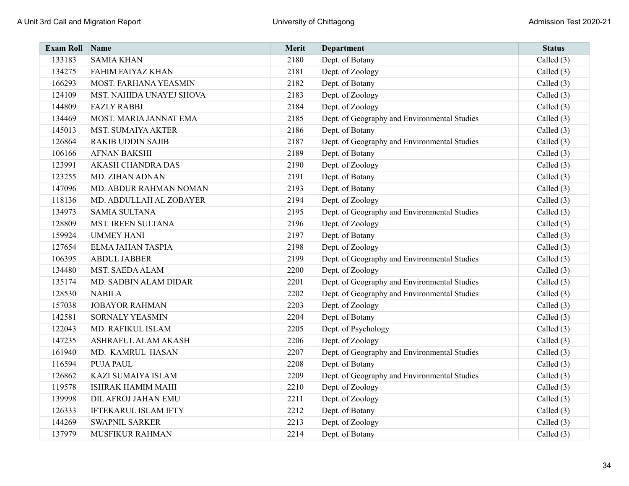| <b>Exam Roll</b> | Name                        | Merit | <b>Department</b>                            | <b>Status</b> |
|------------------|-----------------------------|-------|----------------------------------------------|---------------|
| 133183           | <b>SAMIA KHAN</b>           | 2180  | Dept. of Botany                              | Called (3)    |
| 134275           | FAHIM FAIYAZ KHAN           | 2181  | Dept. of Zoology                             | Called $(3)$  |
| 166293           | MOST. FARHANA YEASMIN       | 2182  | Dept. of Botany                              | Called $(3)$  |
| 124109           | MST. NAHIDA UNAYEJ SHOVA    | 2183  | Dept. of Zoology                             | Called (3)    |
| 144809           | <b>FAZLY RABBI</b>          | 2184  | Dept. of Zoology                             | Called $(3)$  |
| 134469           | MOST. MARIA JANNAT EMA      | 2185  | Dept. of Geography and Environmental Studies | Called $(3)$  |
| 145013           | <b>MST. SUMAIYA AKTER</b>   | 2186  | Dept. of Botany                              | Called $(3)$  |
| 126864           | <b>RAKIB UDDIN SAJIB</b>    | 2187  | Dept. of Geography and Environmental Studies | Called $(3)$  |
| 106166           | <b>AFNAN BAKSHI</b>         | 2189  | Dept. of Botany                              | Called (3)    |
| 123991           | AKASH CHANDRA DAS           | 2190  | Dept. of Zoology                             | Called (3)    |
| 123255           | MD. ZIHAN ADNAN             | 2191  | Dept. of Botany                              | Called $(3)$  |
| 147096           | MD. ABDUR RAHMAN NOMAN      | 2193  | Dept. of Botany                              | Called $(3)$  |
| 118136           | MD. ABDULLAH AL ZOBAYER     | 2194  | Dept. of Zoology                             | Called $(3)$  |
| 134973           | <b>SAMIA SULTANA</b>        | 2195  | Dept. of Geography and Environmental Studies | Called (3)    |
| 128809           | MST. IREEN SULTANA          | 2196  | Dept. of Zoology                             | Called $(3)$  |
| 159924           | <b>UMMEY HANI</b>           | 2197  | Dept. of Botany                              | Called $(3)$  |
| 127654           | ELMA JAHAN TASPIA           | 2198  | Dept. of Zoology                             | Called $(3)$  |
| 106395           | <b>ABDUL JABBER</b>         | 2199  | Dept. of Geography and Environmental Studies | Called $(3)$  |
| 134480           | <b>MST. SAEDA ALAM</b>      | 2200  | Dept. of Zoology                             | Called (3)    |
| 135174           | MD. SADBIN ALAM DIDAR       | 2201  | Dept. of Geography and Environmental Studies | Called $(3)$  |
| 128530           | <b>NABILA</b>               | 2202  | Dept. of Geography and Environmental Studies | Called (3)    |
| 157038           | <b>JOBAYOR RAHMAN</b>       | 2203  | Dept. of Zoology                             | Called $(3)$  |
| 142581           | <b>SORNALY YEASMIN</b>      | 2204  | Dept. of Botany                              | Called $(3)$  |
| 122043           | MD. RAFIKUL ISLAM           | 2205  | Dept. of Psychology                          | Called (3)    |
| 147235           | ASHRAFUL ALAM AKASH         | 2206  | Dept. of Zoology                             | Called $(3)$  |
| 161940           | MD. KAMRUL HASAN            | 2207  | Dept. of Geography and Environmental Studies | Called $(3)$  |
| 116594           | <b>PUJA PAUL</b>            | 2208  | Dept. of Botany                              | Called $(3)$  |
| 126862           | KAZI SUMAIYA ISLAM          | 2209  | Dept. of Geography and Environmental Studies | Called $(3)$  |
| 119578           | <b>ISHRAK HAMIM MAHI</b>    | 2210  | Dept. of Zoology                             | Called $(3)$  |
| 139998           | <b>DIL AFROJ JAHAN EMU</b>  | 2211  | Dept. of Zoology                             | Called $(3)$  |
| 126333           | <b>IFTEKARUL ISLAM IFTY</b> | 2212  | Dept. of Botany                              | Called (3)    |
| 144269           | <b>SWAPNIL SARKER</b>       | 2213  | Dept. of Zoology                             | Called (3)    |
| 137979           | <b>MUSFIKUR RAHMAN</b>      | 2214  | Dept. of Botany                              | Called (3)    |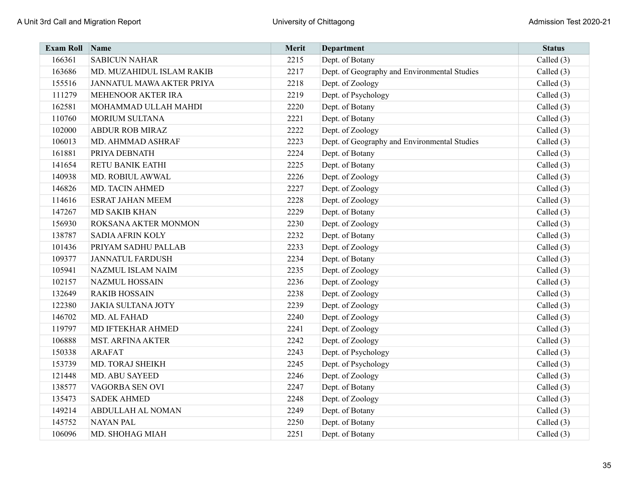| <b>Exam Roll Name</b> |                           | Merit | Department                                   | <b>Status</b> |
|-----------------------|---------------------------|-------|----------------------------------------------|---------------|
| 166361                | <b>SABICUN NAHAR</b>      | 2215  | Dept. of Botany                              | Called (3)    |
| 163686                | MD. MUZAHIDUL ISLAM RAKIB | 2217  | Dept. of Geography and Environmental Studies | Called (3)    |
| 155516                | JANNATUL MAWA AKTER PRIYA | 2218  | Dept. of Zoology                             | Called $(3)$  |
| 111279                | MEHENOOR AKTER IRA        | 2219  | Dept. of Psychology                          | Called (3)    |
| 162581                | MOHAMMAD ULLAH MAHDI      | 2220  | Dept. of Botany                              | Called (3)    |
| 110760                | <b>MORIUM SULTANA</b>     | 2221  | Dept. of Botany                              | Called (3)    |
| 102000                | <b>ABDUR ROB MIRAZ</b>    | 2222  | Dept. of Zoology                             | Called (3)    |
| 106013                | MD. AHMMAD ASHRAF         | 2223  | Dept. of Geography and Environmental Studies | Called $(3)$  |
| 161881                | PRIYA DEBNATH             | 2224  | Dept. of Botany                              | Called $(3)$  |
| 141654                | <b>RETU BANIK EATHI</b>   | 2225  | Dept. of Botany                              | Called (3)    |
| 140938                | MD. ROBIUL AWWAL          | 2226  | Dept. of Zoology                             | Called (3)    |
| 146826                | MD. TACIN AHMED           | 2227  | Dept. of Zoology                             | Called (3)    |
| 114616                | <b>ESRAT JAHAN MEEM</b>   | 2228  | Dept. of Zoology                             | Called $(3)$  |
| 147267                | <b>MD SAKIB KHAN</b>      | 2229  | Dept. of Botany                              | Called (3)    |
| 156930                | ROKSANA AKTER MONMON      | 2230  | Dept. of Zoology                             | Called (3)    |
| 138787                | <b>SADIA AFRIN KOLY</b>   | 2232  | Dept. of Botany                              | Called $(3)$  |
| 101436                | PRIYAM SADHU PALLAB       | 2233  | Dept. of Zoology                             | Called (3)    |
| 109377                | <b>JANNATUL FARDUSH</b>   | 2234  | Dept. of Botany                              | Called $(3)$  |
| 105941                | NAZMUL ISLAM NAIM         | 2235  | Dept. of Zoology                             | Called $(3)$  |
| 102157                | <b>NAZMUL HOSSAIN</b>     | 2236  | Dept. of Zoology                             | Called (3)    |
| 132649                | <b>RAKIB HOSSAIN</b>      | 2238  | Dept. of Zoology                             | Called $(3)$  |
| 122380                | <b>JAKIA SULTANA JOTY</b> | 2239  | Dept. of Zoology                             | Called $(3)$  |
| 146702                | MD. AL FAHAD              | 2240  | Dept. of Zoology                             | Called $(3)$  |
| 119797                | MD IFTEKHAR AHMED         | 2241  | Dept. of Zoology                             | Called (3)    |
| 106888                | <b>MST. ARFINA AKTER</b>  | 2242  | Dept. of Zoology                             | Called (3)    |
| 150338                | <b>ARAFAT</b>             | 2243  | Dept. of Psychology                          | Called $(3)$  |
| 153739                | MD. TORAJ SHEIKH          | 2245  | Dept. of Psychology                          | Called $(3)$  |
| 121448                | MD. ABU SAYEED            | 2246  | Dept. of Zoology                             | Called $(3)$  |
| 138577                | VAGORBA SEN OVI           | 2247  | Dept. of Botany                              | Called $(3)$  |
| 135473                | <b>SADEK AHMED</b>        | 2248  | Dept. of Zoology                             | Called (3)    |
| 149214                | ABDULLAH AL NOMAN         | 2249  | Dept. of Botany                              | Called $(3)$  |
| 145752                | <b>NAYAN PAL</b>          | 2250  | Dept. of Botany                              | Called (3)    |
| 106096                | MD. SHOHAG MIAH           | 2251  | Dept. of Botany                              | Called $(3)$  |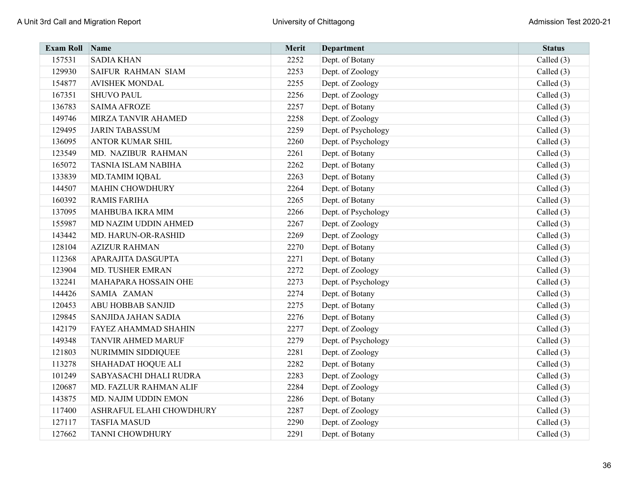| <b>Exam Roll</b> | Name                        | Merit | <b>Department</b>   | <b>Status</b> |
|------------------|-----------------------------|-------|---------------------|---------------|
| 157531           | <b>SADIA KHAN</b>           | 2252  | Dept. of Botany     | Called $(3)$  |
| 129930           | <b>SAIFUR RAHMAN SIAM</b>   | 2253  | Dept. of Zoology    | Called $(3)$  |
| 154877           | <b>AVISHEK MONDAL</b>       | 2255  | Dept. of Zoology    | Called $(3)$  |
| 167351           | <b>SHUVO PAUL</b>           | 2256  | Dept. of Zoology    | Called $(3)$  |
| 136783           | <b>SAIMA AFROZE</b>         | 2257  | Dept. of Botany     | Called $(3)$  |
| 149746           | MIRZA TANVIR AHAMED         | 2258  | Dept. of Zoology    | Called $(3)$  |
| 129495           | <b>JARIN TABASSUM</b>       | 2259  | Dept. of Psychology | Called (3)    |
| 136095           | <b>ANTOR KUMAR SHIL</b>     | 2260  | Dept. of Psychology | Called $(3)$  |
| 123549           | MD. NAZIBUR RAHMAN          | 2261  | Dept. of Botany     | Called $(3)$  |
| 165072           | <b>TASNIA ISLAM NABIHA</b>  | 2262  | Dept. of Botany     | Called $(3)$  |
| 133839           | <b>MD.TAMIM IQBAL</b>       | 2263  | Dept. of Botany     | Called (3)    |
| 144507           | <b>MAHIN CHOWDHURY</b>      | 2264  | Dept. of Botany     | Called $(3)$  |
| 160392           | <b>RAMIS FARIHA</b>         | 2265  | Dept. of Botany     | Called $(3)$  |
| 137095           | MAHBUBA IKRA MIM            | 2266  | Dept. of Psychology | Called $(3)$  |
| 155987           | MD NAZIM UDDIN AHMED        | 2267  | Dept. of Zoology    | Called $(3)$  |
| 143442           | MD. HARUN-OR-RASHID         | 2269  | Dept. of Zoology    | Called $(3)$  |
| 128104           | <b>AZIZUR RAHMAN</b>        | 2270  | Dept. of Botany     | Called $(3)$  |
| 112368           | APARAJITA DASGUPTA          | 2271  | Dept. of Botany     | Called $(3)$  |
| 123904           | <b>MD. TUSHER EMRAN</b>     | 2272  | Dept. of Zoology    | Called $(3)$  |
| 132241           | MAHAPARA HOSSAIN OHE        | 2273  | Dept. of Psychology | Called $(3)$  |
| 144426           | SAMIA ZAMAN                 | 2274  | Dept. of Botany     | Called $(3)$  |
| 120453           | <b>ABU HOBBAB SANJID</b>    | 2275  | Dept. of Botany     | Called $(3)$  |
| 129845           | SANJIDA JAHAN SADIA         | 2276  | Dept. of Botany     | Called $(3)$  |
| 142179           | <b>FAYEZ AHAMMAD SHAHIN</b> | 2277  | Dept. of Zoology    | Called $(3)$  |
| 149348           | <b>TANVIR AHMED MARUF</b>   | 2279  | Dept. of Psychology | Called (3)    |
| 121803           | NURIMMIN SIDDIQUEE          | 2281  | Dept. of Zoology    | Called $(3)$  |
| 113278           | SHAHADAT HOQUE ALI          | 2282  | Dept. of Botany     | Called (3)    |
| 101249           | SABYASACHI DHALI RUDRA      | 2283  | Dept. of Zoology    | Called $(3)$  |
| 120687           | MD. FAZLUR RAHMAN ALIF      | 2284  | Dept. of Zoology    | Called $(3)$  |
| 143875           | MD. NAJIM UDDIN EMON        | 2286  | Dept. of Botany     | Called $(3)$  |
| 117400           | ASHRAFUL ELAHI CHOWDHURY    | 2287  | Dept. of Zoology    | Called $(3)$  |
| 127117           | <b>TASFIA MASUD</b>         | 2290  | Dept. of Zoology    | Called (3)    |
| 127662           | <b>TANNI CHOWDHURY</b>      | 2291  | Dept. of Botany     | Called (3)    |